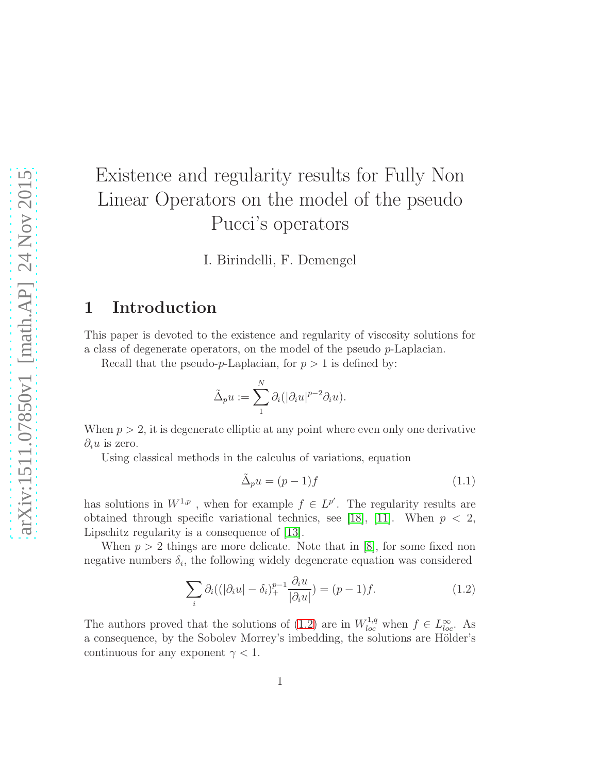# Existence and regularity results for Fully Non Linear Operators on the model of the pseudo Pucci's operators

I. Birindelli, F. Demengel

# 1 Introduction

This paper is devoted to the existence and regularity of viscosity solutions for a class of degenerate operators, on the model of the pseudo p-Laplacian.

Recall that the pseudo-p-Laplacian, for  $p > 1$  is defined by:

$$
\tilde{\Delta}_p u := \sum_1^N \partial_i (|\partial_i u|^{p-2} \partial_i u).
$$

When  $p > 2$ , it is degenerate elliptic at any point where even only one derivative  $\partial_i u$  is zero.

Using classical methods in the calculus of variations, equation

<span id="page-0-1"></span>
$$
\tilde{\Delta}_p u = (p-1)f \tag{1.1}
$$

has solutions in  $W^{1,p}$ , when for example  $f \in L^{p'}$ . The regularity results are obtained through specific variational technics, see [\[18\]](#page-23-0), [\[11\]](#page-22-0). When  $p < 2$ , Lipschitz regularity is a consequence of [\[13\]](#page-22-1).

When  $p > 2$  things are more delicate. Note that in [\[8\]](#page-22-2), for some fixed non negative numbers  $\delta_i$ , the following widely degenerate equation was considered

<span id="page-0-0"></span>
$$
\sum_{i} \partial_i ((|\partial_i u| - \delta_i)_+^{p-1} \frac{\partial_i u}{|\partial_i u|}) = (p-1)f. \tag{1.2}
$$

The authors proved that the solutions of [\(1.2\)](#page-0-0) are in  $W_{loc}^{1,q}$  when  $f \in L_{loc}^{\infty}$ . As a consequence, by the Sobolev Morrey's imbedding, the solutions are Hölder's continuous for any exponent  $\gamma < 1$ .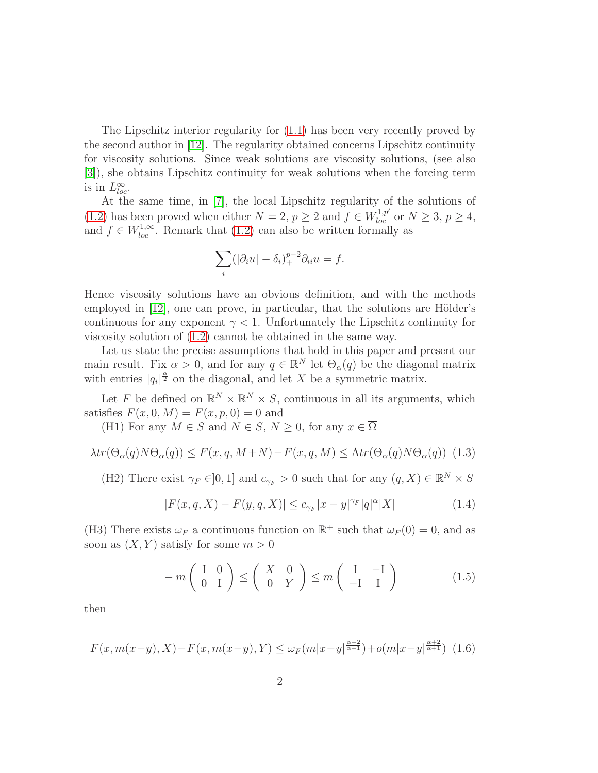The Lipschitz interior regularity for [\(1.1\)](#page-0-1) has been very recently proved by the second author in [\[12\]](#page-22-3). The regularity obtained concerns Lipschitz continuity for viscosity solutions. Since weak solutions are viscosity solutions, (see also [\[3\]](#page-21-0)), she obtains Lipschitz continuity for weak solutions when the forcing term is in  $L^{\infty}_{loc}$ .

At the same time, in [\[7\]](#page-22-4), the local Lipschitz regularity of the solutions of [\(1.2\)](#page-0-0) has been proved when either  $N = 2$ ,  $p \ge 2$  and  $f \in W_{loc}^{1,p'}$  or  $N \ge 3$ ,  $p \ge 4$ , and  $f \in W_{loc}^{1,\infty}$ . Remark that [\(1.2\)](#page-0-0) can also be written formally as

$$
\sum_{i} (|\partial_i u| - \delta_i)_+^{p-2} \partial_{ii} u = f.
$$

Hence viscosity solutions have an obvious definition, and with the methods employed in  $[12]$ , one can prove, in particular, that the solutions are Hölder's continuous for any exponent  $\gamma < 1$ . Unfortunately the Lipschitz continuity for viscosity solution of [\(1.2\)](#page-0-0) cannot be obtained in the same way.

Let us state the precise assumptions that hold in this paper and present our main result. Fix  $\alpha > 0$ , and for any  $q \in \mathbb{R}^N$  let  $\Theta_\alpha(q)$  be the diagonal matrix with entries  $|q_i|^{\frac{\alpha}{2}}$  on the diagonal, and let X be a symmetric matrix.

Let F be defined on  $\mathbb{R}^N \times \mathbb{R}^N \times S$ , continuous in all its arguments, which satisfies  $F(x, 0, M) = F(x, p, 0) = 0$  and

(H1) For any  $M \in S$  and  $N \in S$ ,  $N \geq 0$ , for any  $x \in \overline{\Omega}$ 

<span id="page-1-1"></span>
$$
\lambda tr(\Theta_{\alpha}(q)N\Theta_{\alpha}(q)) \le F(x, q, M+N) - F(x, q, M) \le \Lambda tr(\Theta_{\alpha}(q)N\Theta_{\alpha}(q)) \tag{1.3}
$$

(H2) There exist  $\gamma_F \in ]0,1]$  and  $c_{\gamma_F} > 0$  such that for any  $(q, X) \in \mathbb{R}^N \times S$ 

<span id="page-1-2"></span>
$$
|F(x,q,X) - F(y,q,X)| \leq c_{\gamma_F}|x-y|^{\gamma_F}|q|^{\alpha}|X| \tag{1.4}
$$

(H3) There exists  $\omega_F$  a continuous function on  $\mathbb{R}^+$  such that  $\omega_F(0) = 0$ , and as soon as  $(X, Y)$  satisfy for some  $m > 0$ 

<span id="page-1-3"></span>
$$
-m\left(\begin{array}{cc} I & 0 \\ 0 & I \end{array}\right) \leq \left(\begin{array}{cc} X & 0 \\ 0 & Y \end{array}\right) \leq m\left(\begin{array}{cc} I & -I \\ -I & I \end{array}\right) \tag{1.5}
$$

then

<span id="page-1-0"></span>
$$
F(x, m(x-y), X) - F(x, m(x-y), Y) \le \omega_F(m|x-y|^{\frac{\alpha+2}{\alpha+1}}) + o(m|x-y|^{\frac{\alpha+2}{\alpha+1}}) \tag{1.6}
$$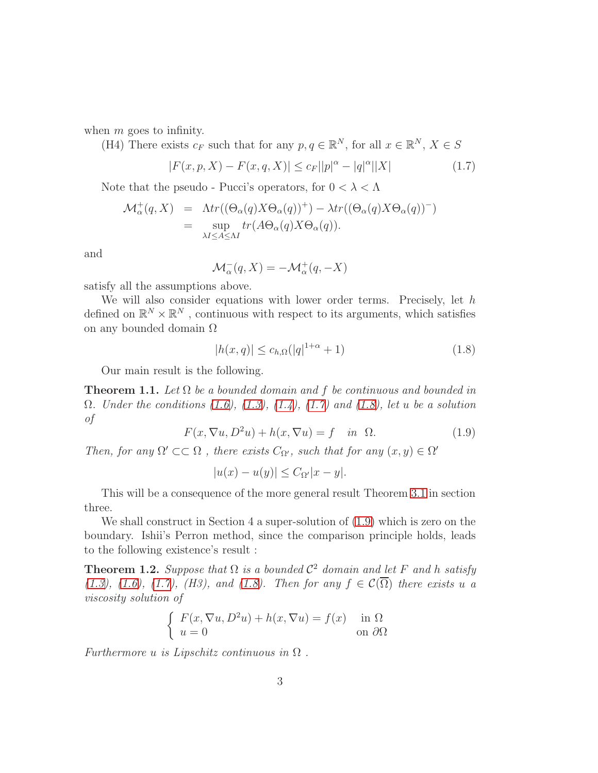when  $m$  goes to infinity.

(H4) There exists  $c_F$  such that for any  $p, q \in \mathbb{R}^N$ , for all  $x \in \mathbb{R}^N$ ,  $X \in S$ 

<span id="page-2-0"></span>
$$
|F(x, p, X) - F(x, q, X)| \le c_F ||p|^\alpha - |q|^\alpha ||X| \tag{1.7}
$$

Note that the pseudo - Pucci's operators, for  $0 < \lambda < \Lambda$ 

$$
\mathcal{M}_{\alpha}^{+}(q, X) = \Lambda tr((\Theta_{\alpha}(q)X\Theta_{\alpha}(q))^{+}) - \lambda tr((\Theta_{\alpha}(q)X\Theta_{\alpha}(q))^{-})
$$
  
= 
$$
\sup_{\lambda I \leq A \leq \Lambda I} tr(A\Theta_{\alpha}(q)X\Theta_{\alpha}(q)).
$$

and

$$
\mathcal{M}_{\alpha}^{-}(q, X) = -\mathcal{M}_{\alpha}^{+}(q, -X)
$$

satisfy all the assumptions above.

We will also consider equations with lower order terms. Precisely, let  $h$ defined on  $\mathbb{R}^N\times\mathbb{R}^N$  , continuous with respect to its arguments, which satisfies on any bounded domain Ω

<span id="page-2-1"></span>
$$
|h(x,q)| \le c_{h,\Omega}(|q|^{1+\alpha} + 1)
$$
\n(1.8)

Our main result is the following.

<span id="page-2-3"></span>**Theorem 1.1.** Let  $\Omega$  be a bounded domain and f be continuous and bounded in  $\Omega$ . Under the conditions [\(1.6\)](#page-1-0), [\(1.3\)](#page-1-1), [\(1.4\)](#page-1-2), [\(1.7\)](#page-2-0) and [\(1.8\)](#page-2-1), let u be a solution of

<span id="page-2-2"></span>
$$
F(x, \nabla u, D^2 u) + h(x, \nabla u) = f \quad \text{in} \quad \Omega. \tag{1.9}
$$

Then, for any  $\Omega' \subset\subset \Omega$ , there exists  $C_{\Omega'}$ , such that for any  $(x, y) \in \Omega'$ 

$$
|u(x) - u(y)| \leq C_{\Omega'}|x - y|.
$$

This will be a consequence of the more general result Theorem [3.1](#page-6-0) in section three.

We shall construct in Section 4 a super-solution of [\(1.9\)](#page-2-2) which is zero on the boundary. Ishii's Perron method, since the comparison principle holds, leads to the following existence's result :

<span id="page-2-4"></span>**Theorem 1.2.** Suppose that  $\Omega$  is a bounded  $\mathcal{C}^2$  domain and let F and h satisfy [\(1.3\)](#page-1-1), [\(1.6\)](#page-1-0), [\(1.7\)](#page-2-0), (H3), and [\(1.8\)](#page-2-1). Then for any  $f \in \mathcal{C}(\overline{\Omega})$  there exists u a viscosity solution of

$$
\begin{cases}\nF(x, \nabla u, D^2 u) + h(x, \nabla u) = f(x) & \text{in } \Omega \\
u = 0 & \text{on } \partial\Omega\n\end{cases}
$$

Furthermore u is Lipschitz continuous in  $\Omega$ .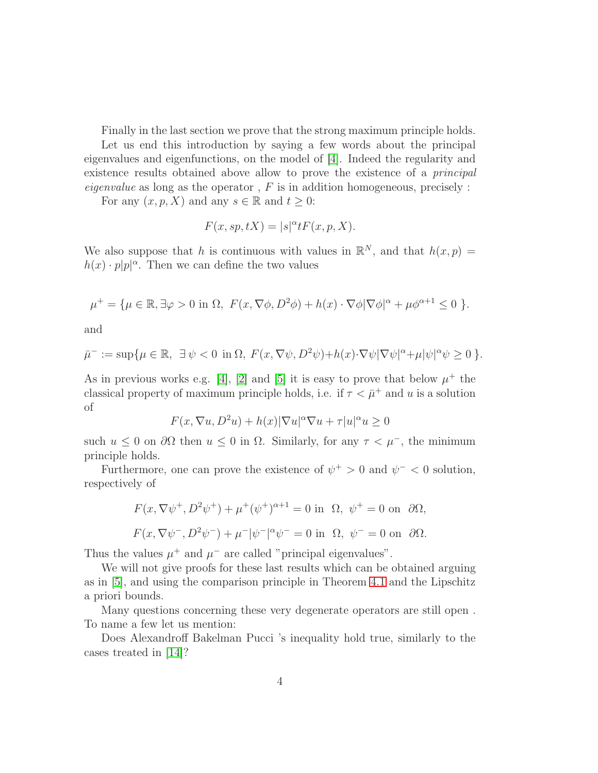Finally in the last section we prove that the strong maximum principle holds. Let us end this introduction by saying a few words about the principal eigenvalues and eigenfunctions, on the model of [\[4\]](#page-21-1). Indeed the regularity and existence results obtained above allow to prove the existence of a principal eigenvalue as long as the operator,  $F$  is in addition homogeneous, precisely :

For any  $(x, p, X)$  and any  $s \in \mathbb{R}$  and  $t \geq 0$ :

$$
F(x, sp, tX) = |s|^{\alpha} t F(x, p, X).
$$

We also suppose that h is continuous with values in  $\mathbb{R}^N$ , and that  $h(x,p) =$  $h(x) \cdot p|p|^{\alpha}$ . Then we can define the two values

$$
\mu^+ = \{ \mu \in \mathbb{R}, \exists \varphi > 0 \text{ in } \Omega, F(x, \nabla \phi, D^2 \phi) + h(x) \cdot \nabla \phi |\nabla \phi|^\alpha + \mu \phi^{\alpha+1} \le 0 \}.
$$

and

$$
\bar{\mu}^- := \sup \{ \mu \in \mathbb{R}, \ \exists \psi < 0 \ \text{in} \ \Omega, \ F(x, \nabla \psi, D^2 \psi) + h(x) \cdot \nabla \psi |\nabla \psi|^\alpha + \mu |\psi|^\alpha \psi \ge 0 \ \}.
$$

As in previous works e.g. [\[4\]](#page-21-1), [\[2\]](#page-21-2) and [\[5\]](#page-22-5) it is easy to prove that below  $\mu^+$  the classical property of maximum principle holds, i.e. if  $\tau < \bar{\mu}^+$  and u is a solution of

$$
F(x, \nabla u, D^2u) + h(x)|\nabla u|^{\alpha}\nabla u + \tau|u|^{\alpha}u \ge 0
$$

such  $u \leq 0$  on  $\partial\Omega$  then  $u \leq 0$  in  $\Omega$ . Similarly, for any  $\tau < \mu^-$ , the minimum principle holds.

Furthermore, one can prove the existence of  $\psi^+ > 0$  and  $\psi^- < 0$  solution, respectively of

$$
F(x, \nabla \psi^+, D^2 \psi^+) + \mu^+ (\psi^+)^{\alpha+1} = 0 \text{ in } \Omega, \ \psi^+ = 0 \text{ on } \partial \Omega,
$$
  

$$
F(x, \nabla \psi^-, D^2 \psi^-) + \mu^- |\psi^-|^{\alpha} \psi^- = 0 \text{ in } \Omega, \ \psi^- = 0 \text{ on } \partial \Omega.
$$

Thus the values  $\mu^+$  and  $\mu^-$  are called "principal eigenvalues".

We will not give proofs for these last results which can be obtained arguing as in [\[5\]](#page-22-5), and using the comparison principle in Theorem [4.1](#page-16-0) and the Lipschitz a priori bounds.

Many questions concerning these very degenerate operators are still open . To name a few let us mention:

Does Alexandroff Bakelman Pucci 's inequality hold true, similarly to the cases treated in [\[14\]](#page-22-6)?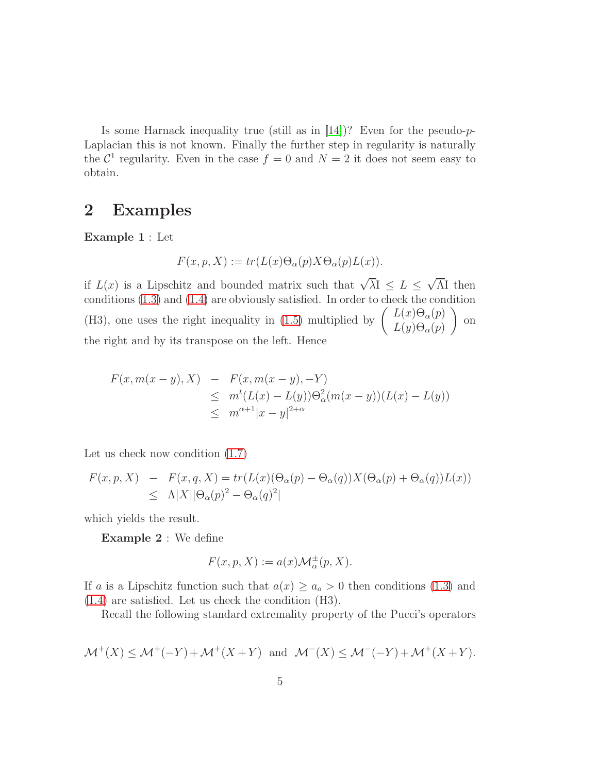Is some Harnack inequality true (still as in  $[14]$ )? Even for the pseudo-p-Laplacian this is not known. Finally the further step in regularity is naturally the  $\mathcal{C}^1$  regularity. Even in the case  $f = 0$  and  $N = 2$  it does not seem easy to obtain.

### 2 Examples

Example 1 : Let

$$
F(x, p, X) := tr(L(x)\Theta_{\alpha}(p)X\Theta_{\alpha}(p)L(x)).
$$

if  $L(x)$  is a Lipschitz and bounded matrix such that  $\sqrt{\lambda}$   $\leq L \leq \sqrt{\Lambda}$  then conditions [\(1.3\)](#page-1-1) and [\(1.4\)](#page-1-2) are obviously satisfied. In order to check the condition (H3), one uses the right inequality in [\(1.5\)](#page-1-3) multiplied by  $\begin{pmatrix} L(x)\Theta_{\alpha}(p) \\ L(x)\Theta_{\alpha}(p) \end{pmatrix}$  $L(y)\Theta_\alpha(p)$  $\setminus$ on the right and by its transpose on the left. Hence

$$
F(x, m(x - y), X) - F(x, m(x - y), -Y)
$$
  
\n
$$
\leq m^{t}(L(x) - L(y))\Theta_{\alpha}^{2}(m(x - y))(L(x) - L(y))
$$
  
\n
$$
\leq m^{\alpha+1}|x - y|^{2+\alpha}
$$

Let us check now condition [\(1.7\)](#page-2-0)

$$
F(x, p, X) - F(x, q, X) = tr(L(x)(\Theta_{\alpha}(p) - \Theta_{\alpha}(q))X(\Theta_{\alpha}(p) + \Theta_{\alpha}(q))L(x))
$$
  
 
$$
\leq \Lambda |X||\Theta_{\alpha}(p)^{2} - \Theta_{\alpha}(q)^{2}|
$$

which yields the result.

Example 2 : We define

$$
F(x, p, X) := a(x) \mathcal{M}_{\alpha}^{\pm}(p, X).
$$

If a is a Lipschitz function such that  $a(x) \ge a_o > 0$  then conditions [\(1.3\)](#page-1-1) and [\(1.4\)](#page-1-2) are satisfied. Let us check the condition (H3).

Recall the following standard extremality property of the Pucci's operators

$$
\mathcal{M}^+(X) \le \mathcal{M}^+(-Y) + \mathcal{M}^+(X+Y) \quad \text{and} \quad \mathcal{M}^-(X) \le \mathcal{M}^-(-Y) + \mathcal{M}^+(X+Y).
$$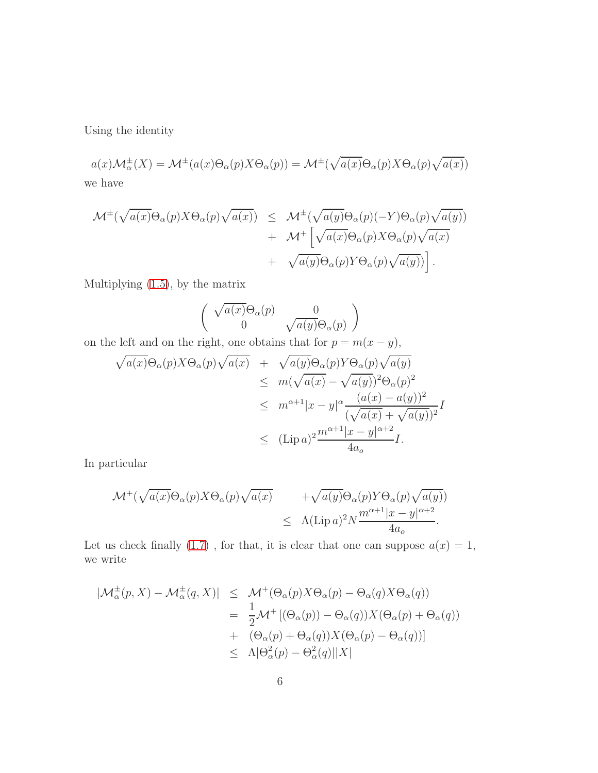Using the identity

 $a(x)\mathcal{M}_{\alpha}^{\pm}(X) = \mathcal{M}^{\pm}(a(x)\Theta_{\alpha}(p)X\Theta_{\alpha}(p)) = \mathcal{M}^{\pm}(\sqrt{a(x)}\Theta_{\alpha}(p)X\Theta_{\alpha}(p)\sqrt{a(x)})$ we have

$$
\mathcal{M}^{\pm}(\sqrt{a(x)}\Theta_{\alpha}(p)X\Theta_{\alpha}(p)\sqrt{a(x)}) \leq \mathcal{M}^{\pm}(\sqrt{a(y)}\Theta_{\alpha}(p)(-Y)\Theta_{\alpha}(p)\sqrt{a(y)}) \n+ \mathcal{M}^{\pm}\left[\sqrt{a(x)}\Theta_{\alpha}(p)X\Theta_{\alpha}(p)\sqrt{a(x)} \n+ \sqrt{a(y)}\Theta_{\alpha}(p)Y\Theta_{\alpha}(p)\sqrt{a(y)})\right].
$$

Multiplying [\(1.5\)](#page-1-3), by the matrix

$$
\left( \begin{array}{cc} \sqrt{a(x)} \Theta_{\alpha}(p) & 0 \\ 0 & \sqrt{a(y)} \Theta_{\alpha}(p) \end{array} \right)
$$

on the left and on the right, one obtains that for  $p = m(x - y)$ ,

$$
\sqrt{a(x)}\Theta_{\alpha}(p)X\Theta_{\alpha}(p)\sqrt{a(x)} + \sqrt{a(y)}\Theta_{\alpha}(p)Y\Theta_{\alpha}(p)\sqrt{a(y)}\leq m(\sqrt{a(x)} - \sqrt{a(y)})^2\Theta_{\alpha}(p)^2\leq m^{\alpha+1}|x-y|^{\alpha}\frac{(a(x) - a(y))^2}{(\sqrt{a(x)} + \sqrt{a(y)})^2}I\leq (\text{Lip }a)^2\frac{m^{\alpha+1}|x-y|^{\alpha+2}}{4a_o}I.
$$

In particular

$$
\mathcal{M}^+(\sqrt{a(x)}\Theta_\alpha(p)X\Theta_\alpha(p)\sqrt{a(x)} + \sqrt{a(y)}\Theta_\alpha(p)Y\Theta_\alpha(p)\sqrt{a(y)})
$$
  

$$
\leq \Lambda(\text{Lip }a)^2N\frac{m^{\alpha+1}|x-y|^{\alpha+2}}{4a_o}.
$$

Let us check finally [\(1.7\)](#page-2-0), for that, it is clear that one can suppose  $a(x) = 1$ , we write

$$
|\mathcal{M}_{\alpha}^{\pm}(p, X) - \mathcal{M}_{\alpha}^{\pm}(q, X)| \leq \mathcal{M}^{+}(\Theta_{\alpha}(p)X\Theta_{\alpha}(p) - \Theta_{\alpha}(q)X\Theta_{\alpha}(q))
$$
  

$$
= \frac{1}{2}\mathcal{M}^{+}[(\Theta_{\alpha}(p)) - \Theta_{\alpha}(q))X(\Theta_{\alpha}(p) + \Theta_{\alpha}(q))
$$
  

$$
+ (\Theta_{\alpha}(p) + \Theta_{\alpha}(q))X(\Theta_{\alpha}(p) - \Theta_{\alpha}(q))]
$$
  

$$
\leq \Lambda|\Theta_{\alpha}^{2}(p) - \Theta_{\alpha}^{2}(q)||X|
$$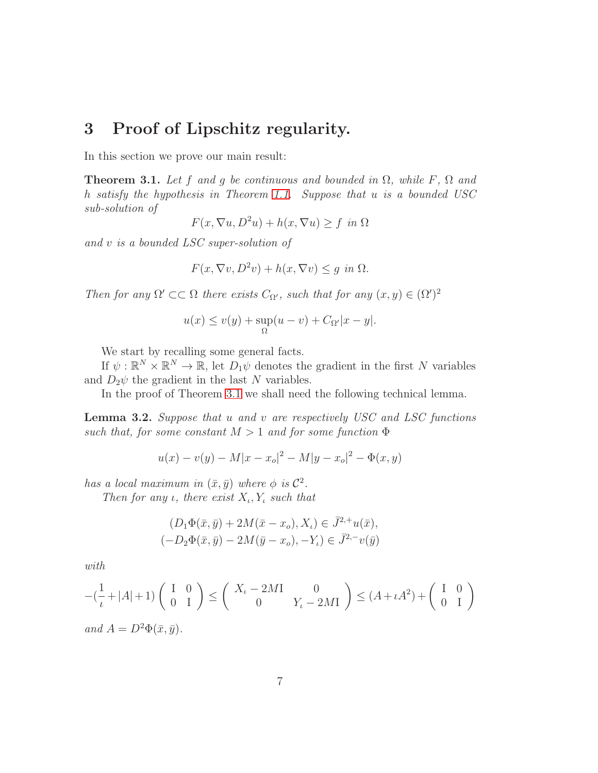### 3 Proof of Lipschitz regularity.

In this section we prove our main result:

<span id="page-6-0"></span>**Theorem 3.1.** Let f and g be continuous and bounded in  $\Omega$ , while F,  $\Omega$  and h satisfy the hypothesis in Theorem [1.1.](#page-2-3) Suppose that u is a bounded USC sub-solution of

$$
F(x, \nabla u, D^2u) + h(x, \nabla u) \ge f \text{ in } \Omega
$$

and v is a bounded LSC super-solution of

$$
F(x, \nabla v, D^2v) + h(x, \nabla v) \le g \text{ in } \Omega.
$$

Then for any  $\Omega' \subset\subset \Omega$  there exists  $C_{\Omega'}$ , such that for any  $(x, y) \in (\Omega')^2$ 

$$
u(x) \le v(y) + \sup_{\Omega} (u - v) + C_{\Omega'} |x - y|.
$$

We start by recalling some general facts.

If  $\psi : \mathbb{R}^N \times \mathbb{R}^N \to \mathbb{R}$ , let  $D_1\psi$  denotes the gradient in the first N variables and  $D_2\psi$  the gradient in the last N variables.

In the proof of Theorem [3.1](#page-6-0) we shall need the following technical lemma.

<span id="page-6-1"></span>**Lemma 3.2.** Suppose that  $u$  and  $v$  are respectively USC and LSC functions such that, for some constant  $M > 1$  and for some function  $\Phi$ 

$$
u(x) - v(y) - M|x - x_o|^2 - M|y - x_o|^2 - \Phi(x, y)
$$

has a local maximum in  $(\bar{x}, \bar{y})$  where  $\phi$  is  $\mathcal{C}^2$ .

Then for any  $\iota$ , there exist  $X_{\iota}$ ,  $Y_{\iota}$  such that

$$
(D_1\Phi(\bar{x}, \bar{y}) + 2M(\bar{x} - x_o), X_\iota) \in \bar{J}^{2,+}u(\bar{x}),
$$
  

$$
(-D_2\Phi(\bar{x}, \bar{y}) - 2M(\bar{y} - x_o), -Y_\iota) \in \bar{J}^{2,-}v(\bar{y})
$$

with

$$
-(\frac{1}{\iota} + |A| + 1) \begin{pmatrix} I & 0 \ 0 & I \end{pmatrix} \leq \begin{pmatrix} X_{\iota} - 2M I & 0 \ 0 & Y_{\iota} - 2M I \end{pmatrix} \leq (A + \iota A^2) + \begin{pmatrix} I & 0 \ 0 & I \end{pmatrix}
$$
  
and  $A = D^2 \Phi(\bar{x}, \bar{y}).$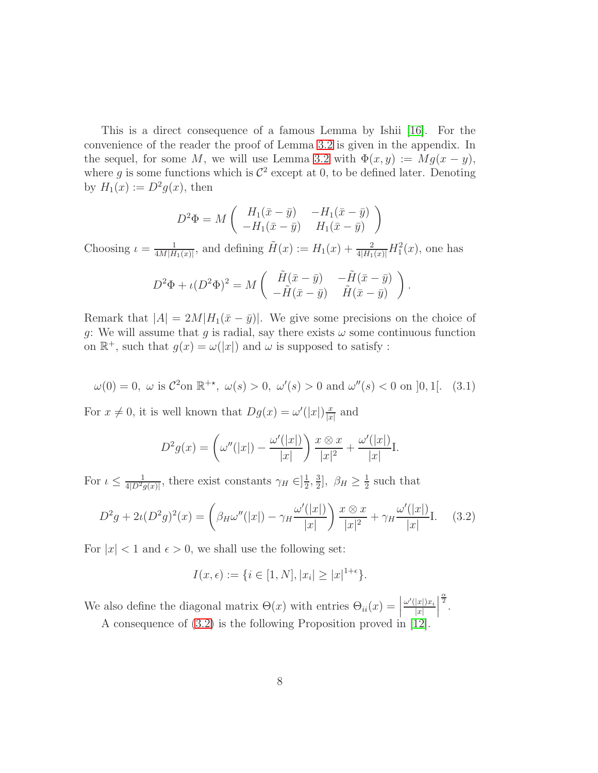This is a direct consequence of a famous Lemma by Ishii [\[16\]](#page-23-1). For the convenience of the reader the proof of Lemma [3.2](#page-6-1) is given in the appendix. In the sequel, for some M, we will use Lemma [3.2](#page-6-1) with  $\Phi(x, y) := Mg(x - y)$ , where g is some functions which is  $\mathcal{C}^2$  except at 0, to be defined later. Denoting by  $H_1(x) := D^2 g(x)$ , then

$$
D^2 \Phi = M \begin{pmatrix} H_1(\bar{x} - \bar{y}) & -H_1(\bar{x} - \bar{y}) \\ -H_1(\bar{x} - \bar{y}) & H_1(\bar{x} - \bar{y}) \end{pmatrix}
$$

Choosing  $\iota = \frac{1}{4M|H}$  $\frac{1}{4M|H_1(x)|}$ , and defining  $\tilde{H}(x) := H_1(x) + \frac{2}{4|H_1(x)|}H_1^2(x)$ , one has

$$
D^2\Phi + \iota(D^2\Phi)^2 = M\begin{pmatrix} \tilde{H}(\bar{x}-\bar{y}) & -\tilde{H}(\bar{x}-\bar{y}) \\ -\tilde{H}(\bar{x}-\bar{y}) & \tilde{H}(\bar{x}-\bar{y}) \end{pmatrix}.
$$

Remark that  $|A| = 2M|H_1(\bar{x} - \bar{y})|$ . We give some precisions on the choice of g: We will assume that g is radial, say there exists  $\omega$  some continuous function on  $\mathbb{R}^+$ , such that  $g(x) = \omega(|x|)$  and  $\omega$  is supposed to satisfy :

<span id="page-7-1"></span>
$$
\omega(0) = 0
$$
,  $\omega$  is  $C^2$ on  $\mathbb{R}^{+*}$ ,  $\omega(s) > 0$ ,  $\omega'(s) > 0$  and  $\omega''(s) < 0$  on  $]0, 1[.$  (3.1)

For  $x \neq 0$ , it is well known that  $Dg(x) = \omega'(|x|) \frac{x}{|x|}$  $\frac{x}{|x|}$  and

$$
D^2 g(x) = \left(\omega''(|x|) - \frac{\omega'(|x|)}{|x|}\right) \frac{x \otimes x}{|x|^2} + \frac{\omega'(|x|)}{|x|}.
$$

For  $\iota \leq \frac{1}{4|D^2g(x)|}$ , there exist constants  $\gamma_H \in ]\frac{1}{2}$  $\frac{1}{2}, \frac{3}{2}$  $\frac{3}{2}$ ,  $\beta_H \ge \frac{1}{2}$  $\frac{1}{2}$  such that

<span id="page-7-0"></span>
$$
D^2 g + 2\iota (D^2 g)^2(x) = \left(\beta_H \omega''(|x|) - \gamma_H \frac{\omega'(|x|)}{|x|}\right) \frac{x \otimes x}{|x|^2} + \gamma_H \frac{\omega'(|x|)}{|x|} I. \tag{3.2}
$$

For  $|x| < 1$  and  $\epsilon > 0$ , we shall use the following set:

$$
I(x,\epsilon) := \{ i \in [1,N], |x_i| \ge |x|^{1+\epsilon} \}.
$$

We also define the diagonal matrix  $\Theta(x)$  with entries  $\Theta_{ii}(x) = \begin{bmatrix} 0 & 0 & i \end{bmatrix}$  $\omega'(|x|)x_i$  $|x|$  $\begin{array}{c} \hline \end{array}$  $\frac{\alpha}{2}$ .

A consequence of [\(3.2\)](#page-7-0) is the following Proposition proved in [\[12\]](#page-22-3).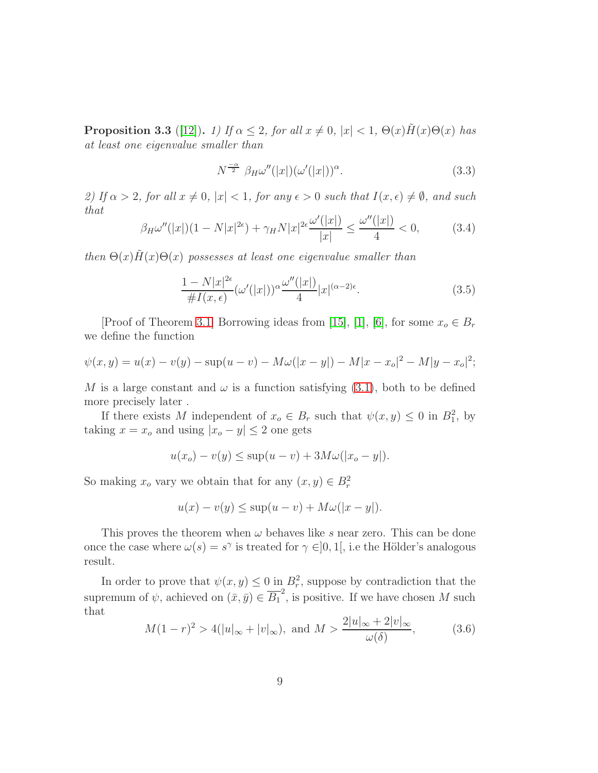<span id="page-8-1"></span>**Proposition 3.3** ([\[12\]](#page-22-3)). 1) If  $\alpha \leq 2$ , for all  $x \neq 0$ ,  $|x| < 1$ ,  $\Theta(x)H(x)\Theta(x)$  has at least one eigenvalue smaller than

<span id="page-8-2"></span>
$$
N^{\frac{-\alpha}{2}} \beta_H \omega''(|x|) (\omega'(|x|))^{\alpha}.
$$
 (3.3)

2) If  $\alpha > 2$ , for all  $x \neq 0$ ,  $|x| < 1$ , for any  $\epsilon > 0$  such that  $I(x, \epsilon) \neq \emptyset$ , and such that

<span id="page-8-3"></span>
$$
\beta_H \omega''(|x|)(1 - N|x|^{2\epsilon}) + \gamma_H N|x|^{2\epsilon} \frac{\omega'(|x|)}{|x|} \le \frac{\omega''(|x|)}{4} < 0,\tag{3.4}
$$

then  $\Theta(x)\tilde{H}(x)\Theta(x)$  possesses at least one eigenvalue smaller than

<span id="page-8-4"></span>
$$
\frac{1 - N|x|^{2\epsilon}}{\#I(x, \epsilon)} (\omega'(|x|))^\alpha \frac{\omega''(|x|)}{4} |x|^{(\alpha - 2)\epsilon}.
$$
\n(3.5)

[Proof of Theorem [3.1\]](#page-6-0) Borrowing ideas from [\[15\]](#page-23-2), [\[1\]](#page-21-3), [\[6\]](#page-22-7), for some  $x_o \in B_r$ we define the function

$$
\psi(x,y) = u(x) - v(y) - \sup(u - v) - M\omega(|x - y|) - M|x - x_o|^2 - M|y - x_o|^2;
$$

M is a large constant and  $\omega$  is a function satisfying [\(3.1\)](#page-7-1), both to be defined more precisely later .

If there exists M independent of  $x_o \in B_r$  such that  $\psi(x, y) \leq 0$  in  $B_1^2$ , by taking  $x = x_o$  and using  $|x_o - y| \leq 2$  one gets

$$
u(x_o) - v(y) \le \sup(u - v) + 3M\omega(|x_o - y|).
$$

So making  $x_o$  vary we obtain that for any  $(x, y) \in B_r^2$ 

$$
u(x) - v(y) \le \sup(u - v) + M\omega(|x - y|).
$$

This proves the theorem when  $\omega$  behaves like s near zero. This can be done once the case where  $\omega(s) = s^{\gamma}$  is treated for  $\gamma \in ]0,1[$ , i.e the Hölder's analogous result.

In order to prove that  $\psi(x, y) \leq 0$  in  $B_r^2$ , suppose by contradiction that the supremum of  $\psi$ , achieved on  $(\bar{x}, \bar{y}) \in \overline{B_1}^2$ , is positive. If we have chosen M such that

<span id="page-8-0"></span>
$$
M(1-r)^2 > 4(|u|_{\infty} + |v|_{\infty}), \text{ and } M > \frac{2|u|_{\infty} + 2|v|_{\infty}}{\omega(\delta)},
$$
 (3.6)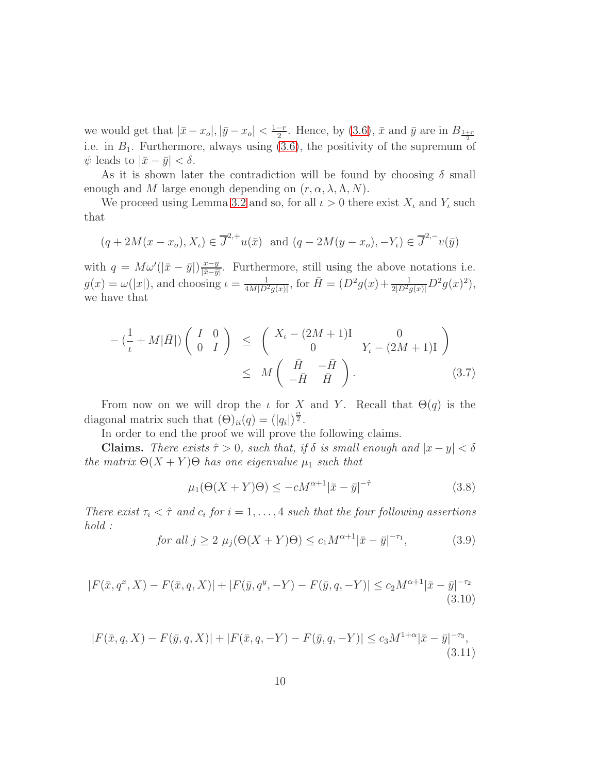we would get that  $|\bar{x} - x_o|, |\bar{y} - x_o| < \frac{1-r}{2}$  $\frac{-r}{2}$ . Hence, by [\(3.6\)](#page-8-0),  $\bar{x}$  and  $\bar{y}$  are in  $B_{\frac{1+r}{2}}$ i.e. in  $B_1$ . Furthermore, always using [\(3.6\)](#page-8-0), the positivity of the supremum of  $\psi$  leads to  $|\bar{x}-\bar{y}| < \delta$ .

As it is shown later the contradiction will be found by choosing  $\delta$  small enough and M large enough depending on  $(r, \alpha, \lambda, \Lambda, N)$ .

We proceed using Lemma [3.2](#page-6-1) and so, for all  $\iota > 0$  there exist  $X_{\iota}$  and  $Y_{\iota}$  such that

$$
(q+2M(x-xo), Xt) \in \overline{J}^{2,+}u(\bar{x}) \text{ and } (q-2M(y-xo), -Yt) \in \overline{J}^{2,-}v(\bar{y})
$$

with  $q = M\omega'(|\bar{x} - \bar{y}|)\frac{\bar{x} - \bar{y}}{|\bar{x} - \bar{y}|}$  $\frac{x-y}{|\bar{x}-\bar{y}|}$ . Furthermore, still using the above notations i.e.  $g(x) = \omega(|x|)$ , and choosing  $\iota = \frac{1}{4M|D^2}$  $\frac{1}{4M|D^2g(x)|}$ , for  $\bar{H} = (D^2g(x) + \frac{1}{2|D^2g(x)|}D^2g(x)^2)$ , we have that

<span id="page-9-4"></span>
$$
-(\frac{1}{\iota} + M|\bar{H}|) \begin{pmatrix} I & 0 \\ 0 & I \end{pmatrix} \leq \begin{pmatrix} X_{\iota} - (2M+1)I & 0 \\ 0 & Y_{\iota} - (2M+1)I \end{pmatrix}
$$
  

$$
\leq M \begin{pmatrix} \bar{H} & -\bar{H} \\ -\bar{H} & \bar{H} \end{pmatrix}.
$$
 (3.7)

From now on we will drop the  $\iota$  for X and Y. Recall that  $\Theta(q)$  is the diagonal matrix such that  $(\Theta)_{ii}(q) = (|q_i|)^{\frac{\alpha}{2}}$ .

In order to end the proof we will prove the following claims.

**Claims.** There exists  $\hat{\tau} > 0$ , such that, if  $\delta$  is small enough and  $|x - y| < \delta$ the matrix  $\Theta(X+Y)\Theta$  has one eigenvalue  $\mu_1$  such that

<span id="page-9-0"></span>
$$
\mu_1(\Theta(X+Y)\Theta) \le -cM^{\alpha+1}|\bar{x}-\bar{y}|^{-\hat{\tau}} \tag{3.8}
$$

There exist  $\tau_i < \hat{\tau}$  and  $c_i$  for  $i = 1, \ldots, 4$  such that the four following assertions hold :

<span id="page-9-1"></span>for all 
$$
j \ge 2
$$
  $\mu_j(\Theta(X+Y)\Theta) \le c_1 M^{\alpha+1} |\bar{x} - \bar{y}|^{-\tau_1}$ , (3.9)

<span id="page-9-2"></span>
$$
|F(\bar{x}, q^x, X) - F(\bar{x}, q, X)| + |F(\bar{y}, q^y, -Y) - F(\bar{y}, q, -Y)| \le c_2 M^{\alpha+1} |\bar{x} - \bar{y}|^{-\tau_2}
$$
\n(3.10)

<span id="page-9-3"></span>
$$
|F(\bar{x}, q, X) - F(\bar{y}, q, X)| + |F(\bar{x}, q, -Y) - F(\bar{y}, q, -Y)| \le c_3 M^{1+\alpha} |\bar{x} - \bar{y}|^{-\tau_3},
$$
\n(3.11)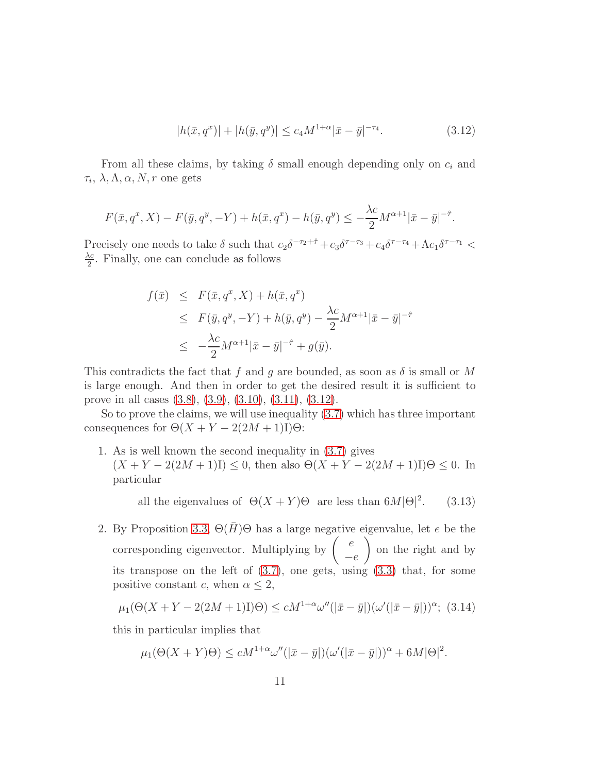<span id="page-10-0"></span>
$$
|h(\bar{x}, q^x)| + |h(\bar{y}, q^y)| \le c_4 M^{1+\alpha} |\bar{x} - \bar{y}|^{-\tau_4}.
$$
 (3.12)

From all these claims, by taking  $\delta$  small enough depending only on  $c_i$  and  $\tau_i$ ,  $\lambda, \Lambda, \alpha, N, r$  one gets

$$
F(\bar{x}, q^x, X) - F(\bar{y}, q^y, -Y) + h(\bar{x}, q^x) - h(\bar{y}, q^y) \le -\frac{\lambda c}{2} M^{\alpha+1} |\bar{x} - \bar{y}|^{-\hat{\tau}}.
$$

Precisely one needs to take  $\delta$  such that  $c_2\delta^{-\tau_2+\hat{\tau}}+c_3\delta^{\tau-\tau_3}+c_4\delta^{\tau-\tau_4}+\Lambda c_1\delta^{\tau-\tau_1}$  $\lambda c$  $\frac{\lambda c}{2}$ . Finally, one can conclude as follows

$$
f(\bar{x}) \leq F(\bar{x}, q^x, X) + h(\bar{x}, q^x)
$$
  
\n
$$
\leq F(\bar{y}, q^y, -Y) + h(\bar{y}, q^y) - \frac{\lambda c}{2} M^{\alpha+1} |\bar{x} - \bar{y}|^{-\hat{\tau}}
$$
  
\n
$$
\leq -\frac{\lambda c}{2} M^{\alpha+1} |\bar{x} - \bar{y}|^{-\hat{\tau}} + g(\bar{y}).
$$

This contradicts the fact that f and g are bounded, as soon as  $\delta$  is small or M is large enough. And then in order to get the desired result it is sufficient to prove in all cases [\(3.8\)](#page-9-0), [\(3.9\)](#page-9-1), [\(3.10\)](#page-9-2), [\(3.11\)](#page-9-3), [\(3.12\)](#page-10-0).

So to prove the claims, we will use inequality [\(3.7\)](#page-9-4) which has three important consequences for  $\Theta(X + Y - 2(2M + 1)I)\Theta$ :

1. As is well known the second inequality in [\(3.7\)](#page-9-4) gives  $(X + Y - 2(2M + 1)I) \leq 0$ , then also  $\Theta(X + Y - 2(2M + 1)I)\Theta \leq 0$ . In particular

> <span id="page-10-2"></span>all the eigenvalues of  $\Theta(X+Y)\Theta$  are less than  $6M|\Theta|^2$  $(3.13)$

2. By Proposition [3.3,](#page-8-1)  $\Theta(\bar{H})\Theta$  has a large negative eigenvalue, let e be the corresponding eigenvector. Multiplying by  $\begin{pmatrix} e \end{pmatrix}$  $-e$  $\setminus$ on the right and by its transpose on the left of  $(3.7)$ , one gets, using  $(3.3)$  that, for some positive constant c, when  $\alpha \leq 2$ ,

<span id="page-10-1"></span>
$$
\mu_1(\Theta(X+Y-2(2M+1)\mathbf{I})\Theta) \le cM^{1+\alpha}\omega''(|\bar{x}-\bar{y}|)(\omega'(|\bar{x}-\bar{y}|))^{\alpha};\tag{3.14}
$$

this in particular implies that

$$
\mu_1(\Theta(X+Y)\Theta) \le cM^{1+\alpha}\omega''(|\bar{x}-\bar{y}|)(\omega'(|\bar{x}-\bar{y}|))^{\alpha} + 6M|\Theta|^2.
$$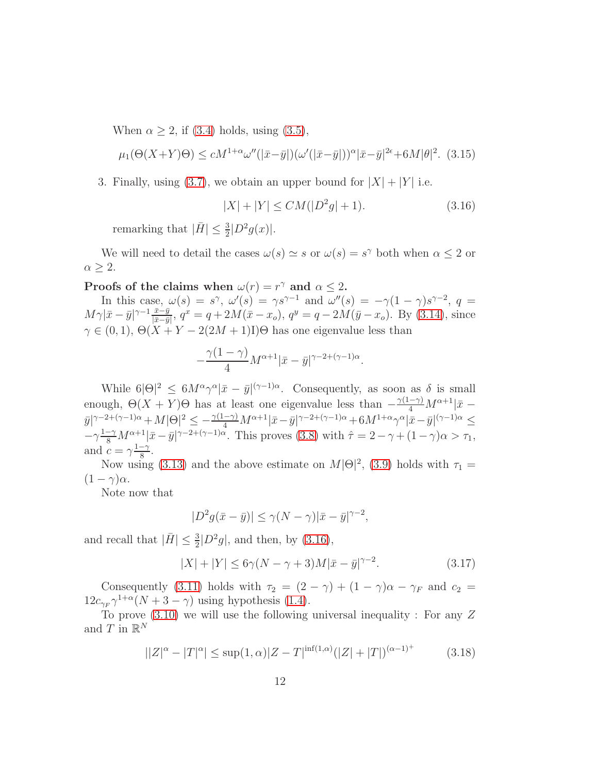When  $\alpha \geq 2$ , if [\(3.4\)](#page-8-3) holds, using [\(3.5\)](#page-8-4),

<span id="page-11-2"></span>
$$
\mu_1(\Theta(X+Y)\Theta) \le cM^{1+\alpha}\omega''(|\bar{x}-\bar{y}|)(\omega'(|\bar{x}-\bar{y}|))^{\alpha}|\bar{x}-\bar{y}|^{2\epsilon}+6M|\theta|^2. \tag{3.15}
$$

3. Finally, using [\(3.7\)](#page-9-4), we obtain an upper bound for  $|X| + |Y|$  i.e.

<span id="page-11-0"></span>
$$
|X| + |Y| \le CM(|D^2g| + 1). \tag{3.16}
$$

remarking that  $|\bar{H}| \leq \frac{3}{2} |D^2 g(x)|$ .

We will need to detail the cases  $\omega(s) \simeq s$  or  $\omega(s) = s^{\gamma}$  both when  $\alpha \leq 2$  or  $\alpha \geq 2$ .

# Proofs of the claims when  $\omega(r) = r^{\gamma}$  and  $\alpha \leq 2$ .

In this case,  $\omega(s) = s^{\gamma}$ ,  $\omega'(s) = \gamma s^{\gamma-1}$  and  $\omega''(s) = -\gamma(1-\gamma)s^{\gamma-2}$ ,  $q =$  $M\gamma|\bar{x}-\bar{y}|^{\gamma-1}\frac{\bar{x}-\bar{y}}{|\bar{x}-\bar{y}|}$  $\frac{\bar{x}-\bar{y}}{|\bar{x}-\bar{y}|}, q^x = q + 2M(\bar{x}-x_o), q^y = q - 2M(\bar{y}-x_o).$  By [\(3.14\)](#page-10-1), since  $\gamma \in (0,1), \Theta(X+Y-2(2M+1)I)\Theta$  has one eigenvalue less than

$$
-\frac{\gamma(1-\gamma)}{4}M^{\alpha+1}|\bar{x}-\bar{y}|^{\gamma-2+(\gamma-1)\alpha}.
$$

While  $6|\Theta|^2 \leq 6M^{\alpha}\gamma^{\alpha}|\bar{x}-\bar{y}|^{(\gamma-1)\alpha}$ . Consequently, as soon as  $\delta$  is small enough,  $\Theta(X + Y)\Theta$  has at least one eigenvalue less than  $-\frac{\gamma(1-\gamma)}{4}M^{\alpha+1}|\bar{x}$  $\bar y|^{\gamma-2+(\gamma-1)\alpha}+M|\Theta|^2\le -\tfrac{\gamma(1-\gamma)}{4}M^{\alpha+1}|\bar x-\bar y|^{\gamma-2+(\gamma-1)\alpha}+6M^{1+\alpha}\gamma^{\alpha}|\bar x-\bar y|^{(\gamma-1)\alpha}\le$  $-\gamma \frac{1-\gamma}{8} M^{\alpha+1} |\bar{x}-\bar{y}|^{\gamma-2+(\gamma-1)\alpha}$ . This proves [\(3.8\)](#page-9-0) with  $\hat{\tau}=2-\gamma+(1-\gamma)\alpha>\tau_1$ , and  $c = \gamma \frac{1-\gamma}{8}$  $\frac{-\gamma}{8}$ .

Now using [\(3.13\)](#page-10-2) and the above estimate on  $M|\Theta|^2$ , [\(3.9\)](#page-9-1) holds with  $\tau_1 =$  $(1 - \gamma)\alpha$ .

Note now that

$$
|D^2g(\bar{x}-\bar{y})| \le \gamma(N-\gamma)|\bar{x}-\bar{y}|^{\gamma-2},
$$

and recall that  $|\bar{H}| \leq \frac{3}{2}|D^2g|$ , and then, by [\(3.16\)](#page-11-0),

<span id="page-11-1"></span>
$$
|X| + |Y| \le 6\gamma (N - \gamma + 3)M|\bar{x} - \bar{y}|^{\gamma - 2}.
$$
 (3.17)

Consequently [\(3.11\)](#page-9-3) holds with  $\tau_2 = (2 - \gamma) + (1 - \gamma)\alpha - \gamma_F$  and  $c_2 =$  $12c_{\gamma_F} \gamma^{1+\alpha}(N+3-\gamma)$  using hypothesis [\(1.4\)](#page-1-2).

To prove  $(3.10)$  we will use the following universal inequality : For any Z and  $T$  in  $\mathbb{R}^N$ 

<span id="page-11-3"></span>
$$
||Z|^{\alpha} - |T|^{\alpha}| \le \sup(1,\alpha)|Z - T|^{\inf(1,\alpha)}(|Z| + |T|)^{(\alpha-1)^{+}} \tag{3.18}
$$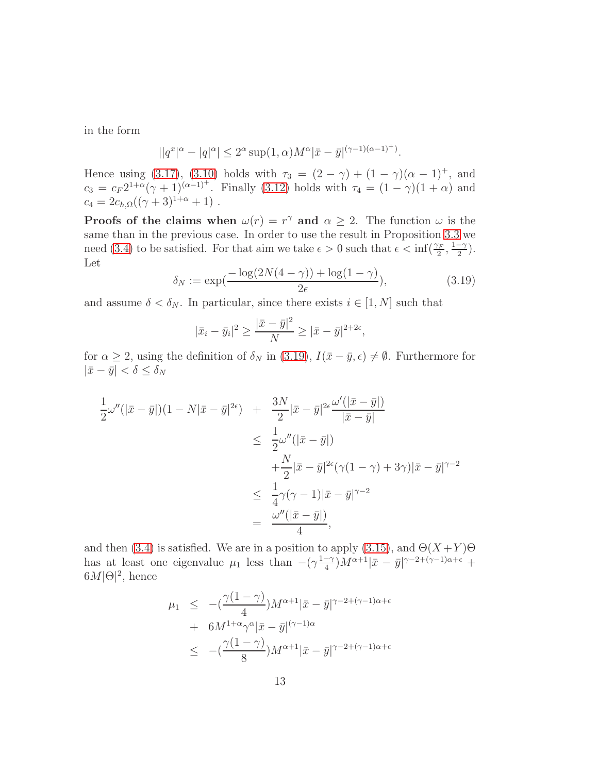in the form

$$
||q^x|^{\alpha} - |q|^{\alpha}| \le 2^{\alpha} \sup(1,\alpha) M^{\alpha} |\bar{x} - \bar{y}|^{(\gamma - 1)(\alpha - 1)^{+}}.
$$

Hence using [\(3.17\)](#page-11-1), [\(3.10\)](#page-9-2) holds with  $\tau_3 = (2 - \gamma) + (1 - \gamma)(\alpha - 1)^+$ , and  $c_3 = c_F 2^{1+\alpha} (\gamma + 1)^{(\alpha-1)^+}$ . Finally [\(3.12\)](#page-10-0) holds with  $\tau_4 = (1-\gamma)(1+\alpha)$  and  $c_4 = 2c_{h,\Omega}((\gamma + 3)^{1+\alpha} + 1)$ .

**Proofs of the claims when**  $\omega(r) = r^{\gamma}$  and  $\alpha \geq 2$ . The function  $\omega$  is the same than in the previous case. In order to use the result in Proposition [3.3](#page-8-1) we need [\(3.4\)](#page-8-3) to be satisfied. For that aim we take  $\epsilon > 0$  such that  $\epsilon < \inf(\frac{\gamma_F}{2}, \frac{1-\gamma}{2})$  $\frac{-\gamma}{2}$ ). Let

<span id="page-12-0"></span>
$$
\delta_N := \exp\left(\frac{-\log(2N(4-\gamma)) + \log(1-\gamma)}{2\epsilon}\right),\tag{3.19}
$$

and assume  $\delta < \delta_N$ . In particular, since there exists  $i \in [1, N]$  such that

$$
|\bar{x}_i - \bar{y}_i|^2 \ge \frac{|\bar{x} - \bar{y}|^2}{N} \ge |\bar{x} - \bar{y}|^{2+2\epsilon},
$$

for  $\alpha \geq 2$ , using the definition of  $\delta_N$  in [\(3.19\)](#page-12-0),  $I(\bar{x}-\bar{y}, \epsilon) \neq \emptyset$ . Furthermore for  $|\bar{x}-\bar{y}| < \delta \leq \delta_N$ 

$$
\frac{1}{2}\omega''(|\bar{x}-\bar{y}|)(1-N|\bar{x}-\bar{y}|^{2\epsilon}) + \frac{3N}{2}|\bar{x}-\bar{y}|^{2\epsilon}\frac{\omega'(|\bar{x}-\bar{y}|)}{|\bar{x}-\bar{y}|}
$$
\n
$$
\leq \frac{1}{2}\omega''(|\bar{x}-\bar{y}|)
$$
\n
$$
+\frac{N}{2}|\bar{x}-\bar{y}|^{2\epsilon}(\gamma(1-\gamma)+3\gamma)|\bar{x}-\bar{y}|^{\gamma-2}
$$
\n
$$
\leq \frac{1}{4}\gamma(\gamma-1)|\bar{x}-\bar{y}|^{\gamma-2}
$$
\n
$$
= \frac{\omega''(|\bar{x}-\bar{y}|)}{4},
$$

and then [\(3.4\)](#page-8-3) is satisfied. We are in a position to apply [\(3.15\)](#page-11-2), and  $\Theta(X+Y)\Theta$ has at least one eigenvalue  $\mu_1$  less than  $-(\gamma \frac{1-\gamma}{4})$  $\frac{-\gamma}{4}$ ) $M^{\alpha+1}|\bar{x}-\bar{y}|^{\gamma-2+(\gamma-1)\alpha+\epsilon}$  +  $6M|\Theta|^2$ , hence

$$
\mu_1 \le -(\frac{\gamma(1-\gamma)}{4})M^{\alpha+1}|\bar{x}-\bar{y}|^{\gamma-2+(\gamma-1)\alpha+\epsilon}
$$
  
+  $6M^{1+\alpha}\gamma^{\alpha}|\bar{x}-\bar{y}|^{(\gamma-1)\alpha}$   

$$
\le -(\frac{\gamma(1-\gamma)}{8})M^{\alpha+1}|\bar{x}-\bar{y}|^{\gamma-2+(\gamma-1)\alpha+\epsilon}
$$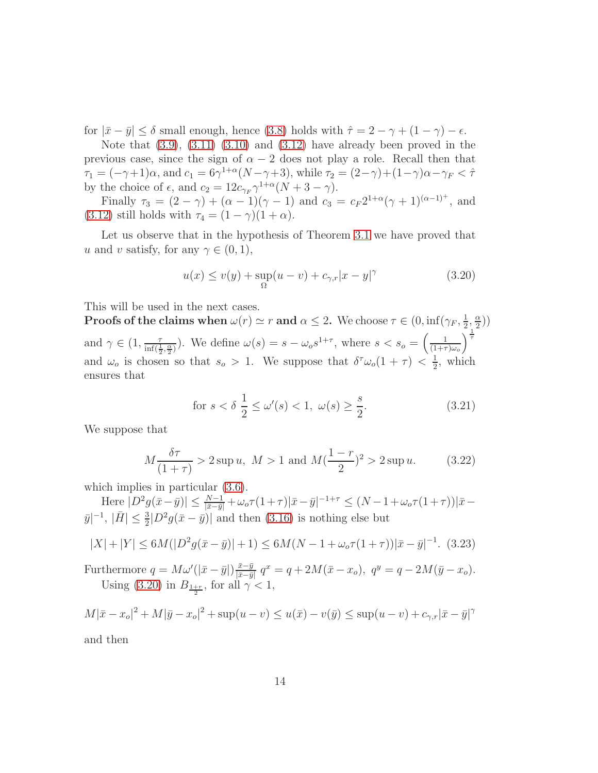for  $|\bar{x}-\bar{y}| \le \delta$  small enough, hence [\(3.8\)](#page-9-0) holds with  $\hat{\tau}=2-\gamma+(1-\gamma)-\epsilon$ .

Note that  $(3.9)$ ,  $(3.11)$   $(3.10)$  and  $(3.12)$  have already been proved in the previous case, since the sign of  $\alpha - 2$  does not play a role. Recall then that  $\tau_1 = (-\gamma + 1)\alpha$ , and  $c_1 = 6\gamma^{1+\alpha}(N-\gamma+3)$ , while  $\tau_2 = (2-\gamma)+(1-\gamma)\alpha-\gamma_F < \hat{\tau}$ by the choice of  $\epsilon$ , and  $c_2 = 12c_{\gamma_F} \gamma^{1+\alpha}(N+3-\gamma)$ .

Finally  $\tau_3 = (2 - \gamma) + (\alpha - 1)(\gamma - 1)$  and  $c_3 = c_F 2^{1+\alpha}(\gamma + 1)^{(\alpha-1)^+}$ , and [\(3.12\)](#page-10-0) still holds with  $\tau_4 = (1 - \gamma)(1 + \alpha)$ .

Let us observe that in the hypothesis of Theorem [3.1](#page-6-0) we have proved that u and v satisfy, for any  $\gamma \in (0,1)$ ,

<span id="page-13-0"></span>
$$
u(x) \le v(y) + \sup_{\Omega} (u - v) + c_{\gamma,r} |x - y|^{\gamma}
$$
\n(3.20)

This will be used in the next cases.

**Proofs of the claims when**  $\omega(r) \simeq r$  and  $\alpha \leq 2$ . We choose  $\tau \in (0, \inf(\gamma_F, \frac{1}{2}))$  $\frac{1}{2}, \frac{\alpha}{2}$  $\frac{\alpha}{2})$ and  $\gamma \in (1, \frac{\tau}{\inf(\frac{1}{2}, \frac{\alpha}{2})})$ . We define  $\omega(s) = s - \omega_o s^{1+\tau}$ , where  $s < s_o = \left(\frac{1}{(1+\tau)^{1+\tau}}\right)$  $(1{+}\tau)\omega_o$  $\frac{1}{\tau}$ and  $\omega_o$  is chosen so that  $s_o > 1$ . We suppose that  $\delta^{\tau}\omega_o(1+\tau) < \frac{1}{2}$  $\frac{1}{2}$ , which ensures that

<span id="page-13-1"></span>for 
$$
s < \delta \frac{1}{2} \le \omega'(s) < 1, \ \omega(s) \ge \frac{s}{2}
$$
. (3.21)

We suppose that

<span id="page-13-3"></span>
$$
M\frac{\delta\tau}{(1+\tau)} > 2 \sup u, \ M > 1 \text{ and } M(\frac{1-r}{2})^2 > 2 \sup u.
$$
 (3.22)

which implies in particular  $(3.6)$ .

Here  $|D^2 g(\bar{x} - \bar{y})| \leq \frac{N-1}{|\bar{x} - \bar{y}|} + \omega_o \tau (1 + \tau) |\bar{x} - \bar{y}|^{-1+\tau} \leq (N - 1 + \omega_o \tau (1 + \tau)) |\bar{x} - \bar{y}|^{-1+\tau}$  $|\bar{y}|^{-1}, |\bar{H}| \leq \frac{3}{2} |D^2 g(\bar{x} - \bar{y})|$  and then [\(3.16\)](#page-11-0) is nothing else but

<span id="page-13-2"></span>
$$
|X| + |Y| \le 6M(|D^2 g(\bar{x} - \bar{y})| + 1) \le 6M(N - 1 + \omega_o \tau (1 + \tau))|\bar{x} - \bar{y}|^{-1}.
$$
 (3.23)

Furthermore  $q = M\omega'(|\bar{x} - \bar{y}|)\frac{\bar{x} - \bar{y}}{|\bar{x} - \bar{y}|}$  $\frac{\bar{x}-\bar{y}}{|\bar{x}-\bar{y}|} q^x = q + 2M(\bar{x}-x_o), q^y = q - 2M(\bar{y}-x_o).$ Using [\(3.20\)](#page-13-0) in  $B_{\frac{1+r}{2}}$ , for all  $\gamma < 1$ ,

$$
M|\bar{x} - x_o|^2 + M|\bar{y} - x_o|^2 + \sup(u - v) \le u(\bar{x}) - v(\bar{y}) \le \sup(u - v) + c_{\gamma, r}|\bar{x} - \bar{y}|^{\gamma}
$$

and then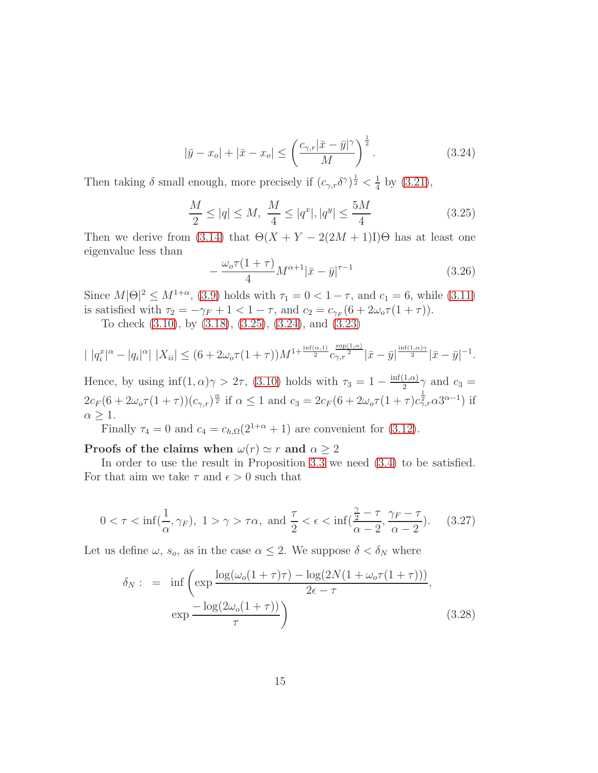<span id="page-14-1"></span>
$$
|\bar{y} - x_o| + |\bar{x} - x_o| \le \left(\frac{c_{\gamma, r} |\bar{x} - \bar{y}|^{\gamma}}{M}\right)^{\frac{1}{2}}.
$$
\n(3.24)

Then taking  $\delta$  small enough, more precisely if  $(c_{\gamma,r}\delta^{\gamma})^{\frac{1}{2}} < \frac{1}{4}$  $\frac{1}{4}$  by [\(3.21\)](#page-13-1),

<span id="page-14-0"></span>
$$
\frac{M}{2} \le |q| \le M, \ \frac{M}{4} \le |q^x|, |q^y| \le \frac{5M}{4} \tag{3.25}
$$

Then we derive from [\(3.14\)](#page-10-1) that  $\Theta(X + Y - 2(2M + 1)I)\Theta$  has at least one eigenvalue less than

$$
-\frac{\omega_o \tau (1+\tau)}{4} M^{\alpha+1} |\bar{x}-\bar{y}|^{\tau-1} \tag{3.26}
$$

Since  $M|\Theta|^2 \le M^{1+\alpha}$ , [\(3.9\)](#page-9-1) holds with  $\tau_1 = 0 < 1 - \tau$ , and  $c_1 = 6$ , while [\(3.11\)](#page-9-3) is satisfied with  $\tau_2 = -\gamma_F + 1 < 1 - \tau$ , and  $c_2 = c_{\gamma_F}(6 + 2\omega_o \tau (1 + \tau))$ .

To check [\(3.10\)](#page-9-2), by [\(3.18\)](#page-11-3), [\(3.25\)](#page-14-0), [\(3.24\)](#page-14-1), and [\(3.23\)](#page-13-2)

$$
| |q_i^x|^{\alpha} - |q_i|^{\alpha} | |X_{ii}| \le (6 + 2\omega_0 \tau (1 + \tau)) M^{1 + \frac{\inf(\alpha, 1)}{2}} c_{\gamma, r}^{\frac{\sup(1, \alpha)}{2}} |\bar{x} - \bar{y}|^{\frac{\inf(1, \alpha)\gamma}{2}} |\bar{x} - \bar{y}|^{-1}.
$$

Hence, by using  $\inf(1, \alpha)\gamma > 2\tau$ , [\(3.10\)](#page-9-2) holds with  $\tau_3 = 1 - \frac{\inf(1, \alpha)}{2}$  $\frac{1, \alpha)}{2}$  and  $c_3 =$  $2c_F(6+2\omega_o\tau(1+\tau))(c_{\gamma,r})^{\frac{\alpha}{2}}$  if  $\alpha \leq 1$  and  $c_3 = 2c_F(6+2\omega_o\tau(1+\tau)c_{\gamma,r}^{1/2}\alpha 3^{\alpha-1})$  if  $\alpha \geq 1$ .

Finally  $\tau_4 = 0$  and  $c_4 = c_{h,\Omega}(2^{1+\alpha} + 1)$  are convenient for [\(3.12\)](#page-10-0).

Proofs of the claims when  $\omega(r) \simeq r$  and  $\alpha \geq 2$ 

In order to use the result in Proposition [3.3](#page-8-1) we need [\(3.4\)](#page-8-3) to be satisfied. For that aim we take  $\tau$  and  $\epsilon > 0$  such that

<span id="page-14-3"></span>
$$
0 < \tau < \inf\left(\frac{1}{\alpha}, \gamma_F\right), \ 1 > \gamma > \tau\alpha, \text{ and } \frac{\tau}{2} < \epsilon < \inf\left(\frac{\frac{\gamma}{2} - \tau}{\alpha - 2}, \frac{\gamma_F - \tau}{\alpha - 2}\right). \tag{3.27}
$$

Let us define  $\omega$ ,  $s_o$ , as in the case  $\alpha \leq 2$ . We suppose  $\delta < \delta_N$  where

<span id="page-14-2"></span>
$$
\delta_N: = \inf \left( \exp \frac{\log(\omega_o(1+\tau)\tau) - \log(2N(1+\omega_o\tau(1+\tau)))}{2\epsilon - \tau}, \exp \frac{-\log(2\omega_o(1+\tau))}{\tau} \right)
$$
\n(3.28)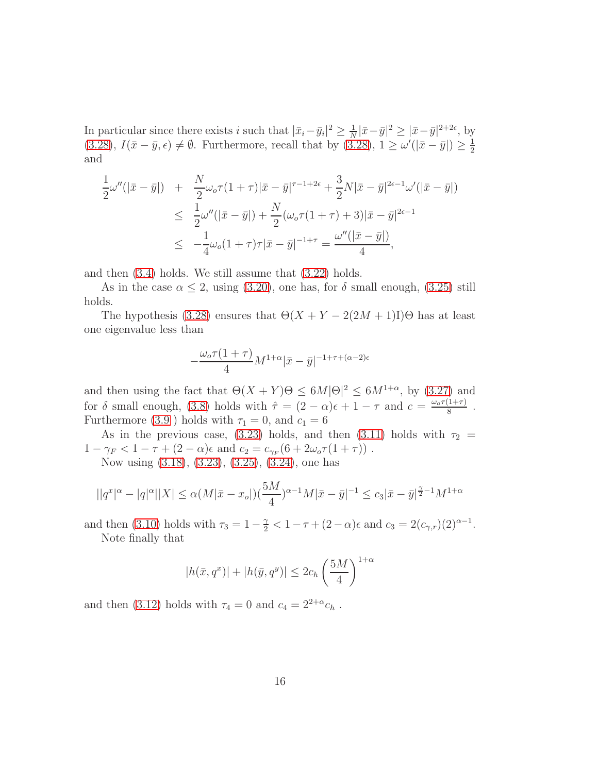In particular since there exists i such that  $|\bar{x}_i - \bar{y}_i|^2 \geq \frac{1}{N}$  $\frac{1}{N}|\bar{x}-\bar{y}|^2 \geq |\bar{x}-\bar{y}|^{2+2\epsilon}, \text{ by}$  $(3.28), I(\bar{x}-\bar{y}, \epsilon) \neq \emptyset$  $(3.28), I(\bar{x}-\bar{y}, \epsilon) \neq \emptyset$ . Furthermore, recall that by  $(3.28), 1 \geq \omega'(|\bar{x}-\bar{y}|) \geq \frac{1}{2}$ 2 and

$$
\frac{1}{2}\omega''(|\bar{x}-\bar{y}|) + \frac{N}{2}\omega_{o}\tau(1+\tau)|\bar{x}-\bar{y}|^{\tau-1+2\epsilon} + \frac{3}{2}N|\bar{x}-\bar{y}|^{2\epsilon-1}\omega'(|\bar{x}-\bar{y}|) \n\leq \frac{1}{2}\omega''(|\bar{x}-\bar{y}|) + \frac{N}{2}(\omega_{o}\tau(1+\tau)+3)|\bar{x}-\bar{y}|^{2\epsilon-1} \n\leq -\frac{1}{4}\omega_{o}(1+\tau)\tau|\bar{x}-\bar{y}|^{-1+\tau} = \frac{\omega''(|\bar{x}-\bar{y}|)}{4},
$$

and then [\(3.4\)](#page-8-3) holds. We still assume that [\(3.22\)](#page-13-3) holds.

As in the case  $\alpha \leq 2$ , using [\(3.20\)](#page-13-0), one has, for  $\delta$  small enough, [\(3.25\)](#page-14-0) still holds.

The hypothesis [\(3.28\)](#page-14-2) ensures that  $\Theta(X + Y - 2(2M + 1)I)\Theta$  has at least one eigenvalue less than

$$
-\frac{\omega_o \tau (1+\tau)}{4} M^{1+\alpha} |\bar{x}-\bar{y}|^{-1+\tau+(\alpha-2)\epsilon}
$$

and then using the fact that  $\Theta(X+Y)\Theta \leq 6M|\Theta|^2 \leq 6M^{1+\alpha}$ , by  $(3.27)$  and for  $\delta$  small enough, [\(3.8\)](#page-9-0) holds with  $\hat{\tau} = (2 - \alpha)\epsilon + 1 - \tau$  and  $c = \frac{\omega_{\sigma}\tau(1+\tau)}{8}$  $\frac{1+\tau)}{8}$ . Furthermore [\(3.9](#page-9-1)) holds with  $\tau_1 = 0$ , and  $c_1 = 6$ 

As in the previous case, [\(3.23\)](#page-13-2) holds, and then [\(3.11\)](#page-9-3) holds with  $\tau_2$  =  $1 - \gamma_F < 1 - \tau + (2 - \alpha)\epsilon$  and  $c_2 = c_{\gamma_F}(6 + 2\omega_o \tau (1 + \tau))$ . Now using [\(3.18\)](#page-11-3), [\(3.23\)](#page-13-2), [\(3.25\)](#page-14-0), [\(3.24\)](#page-14-1), one has

$$
||q^x|^{\alpha} - |q|^{\alpha}||X| \le \alpha (M|\bar{x} - x_o|)(\frac{5M}{4})^{\alpha - 1}M|\bar{x} - \bar{y}|^{-1} \le c_3|\bar{x} - \bar{y}|^{\frac{\gamma}{2} - 1}M^{1 + \alpha}
$$

and then [\(3.10\)](#page-9-2) holds with  $\tau_3 = 1 - \frac{\gamma}{2} < 1 - \tau + (2 - \alpha)\epsilon$  and  $c_3 = 2(c_{\gamma,r})(2)^{\alpha - 1}$ . Note finally that

$$
|h(\bar{x}, q^x)| + |h(\bar{y}, q^y)| \le 2c_h \left(\frac{5M}{4}\right)^{1+\alpha}
$$

and then [\(3.12\)](#page-10-0) holds with  $\tau_4 = 0$  and  $c_4 = 2^{2+\alpha} c_h$ .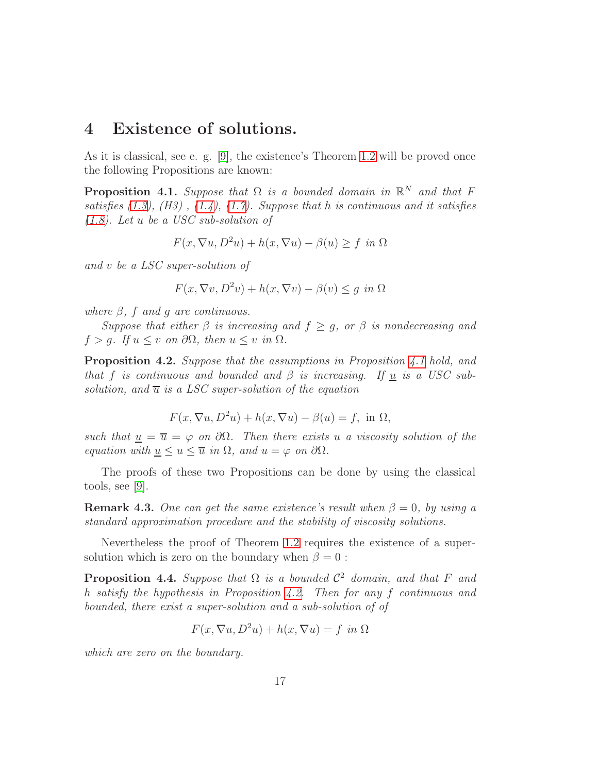### 4 Existence of solutions.

As it is classical, see e. g. [\[9\]](#page-22-8), the existence's Theorem [1.2](#page-2-4) will be proved once the following Propositions are known:

<span id="page-16-0"></span>**Proposition 4.1.** Suppose that  $\Omega$  is a bounded domain in  $\mathbb{R}^N$  and that F satisfies  $(1.3)$ ,  $(H3)$ ,  $(1.4)$ ,  $(1.7)$ . Suppose that h is continuous and it satisfies [\(1.8\)](#page-2-1). Let u be a USC sub-solution of

$$
F(x, \nabla u, D^2u) + h(x, \nabla u) - \beta(u) \ge f \text{ in } \Omega
$$

and v be a LSC super-solution of

$$
F(x, \nabla v, D^2v) + h(x, \nabla v) - \beta(v) \le g \text{ in } \Omega
$$

where  $\beta$ , f and q are continuous.

Suppose that either  $\beta$  is increasing and  $f \geq g$ , or  $\beta$  is nondecreasing and  $f > q$ . If  $u \leq v$  on  $\partial\Omega$ , then  $u \leq v$  in  $\Omega$ .

<span id="page-16-1"></span>Proposition 4.2. Suppose that the assumptions in Proposition [4.1](#page-16-0) hold, and that f is continuous and bounded and  $\beta$  is increasing. If <u>u</u> is a USC subsolution, and  $\overline{u}$  is a LSC super-solution of the equation

$$
F(x, \nabla u, D^2u) + h(x, \nabla u) - \beta(u) = f, \text{ in } \Omega,
$$

such that  $u = \overline{u} = \varphi$  on  $\partial\Omega$ . Then there exists u a viscosity solution of the equation with  $\underline{u} \leq u \leq \overline{u}$  in  $\Omega$ , and  $u = \varphi$  on  $\partial \Omega$ .

The proofs of these two Propositions can be done by using the classical tools, see [\[9\]](#page-22-8).

**Remark 4.3.** One can get the same existence's result when  $\beta = 0$ , by using a standard approximation procedure and the stability of viscosity solutions.

Nevertheless the proof of Theorem [1.2](#page-2-4) requires the existence of a supersolution which is zero on the boundary when  $\beta = 0$ :

<span id="page-16-2"></span>**Proposition 4.4.** Suppose that  $\Omega$  is a bounded  $\mathcal{C}^2$  domain, and that F and h satisfy the hypothesis in Proposition [4.2.](#page-16-1) Then for any f continuous and bounded, there exist a super-solution and a sub-solution of of

$$
F(x, \nabla u, D^2u) + h(x, \nabla u) = f \text{ in } \Omega
$$

which are zero on the boundary.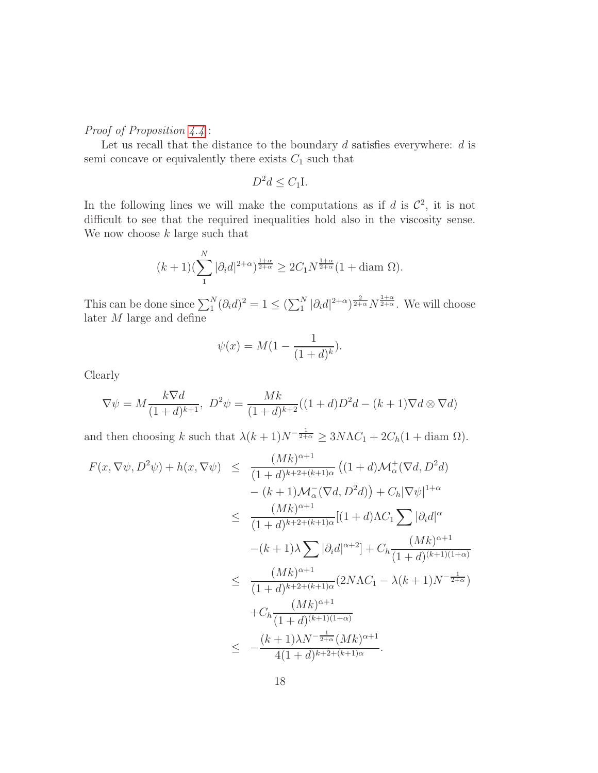#### Proof of Proposition  $4.4$ :

Let us recall that the distance to the boundary  $d$  satisfies everywhere:  $d$  is semi concave or equivalently there exists  $C_1$  such that

$$
D^2d \le C_1I.
$$

In the following lines we will make the computations as if d is  $\mathcal{C}^2$ , it is not difficult to see that the required inequalities hold also in the viscosity sense. We now choose  $k$  large such that

$$
(k+1)(\sum_{1}^{N}|\partial_i d|^{2+\alpha})^{\frac{1+\alpha}{2+\alpha}} \ge 2C_1 N^{\frac{1+\alpha}{2+\alpha}} (1 + \text{diam }\Omega).
$$

This can be done since  $\sum_{1}^{N}(\partial_{i}d)^{2} = 1 \leq (\sum_{1}^{N}|\partial_{i}d|^{2+\alpha})^{\frac{2}{2+\alpha}}N^{\frac{1+\alpha}{2+\alpha}}$ . We will choose later  $M$  large and define

$$
\psi(x) = M(1 - \frac{1}{(1+d)^k}).
$$

Clearly

$$
\nabla \psi = M \frac{k \nabla d}{(1+d)^{k+1}}, \ D^2 \psi = \frac{Mk}{(1+d)^{k+2}} ((1+d)D^2 d - (k+1) \nabla d \otimes \nabla d)
$$

and then choosing k such that  $\lambda(k+1)N^{-\frac{1}{2+\alpha}} \geq 3N\Lambda C_1 + 2C_h(1 + \text{diam }\Omega).$ 

$$
F(x, \nabla \psi, D^2 \psi) + h(x, \nabla \psi) \leq \frac{(Mk)^{\alpha+1}}{(1+d)^{k+2+(k+1)\alpha}} \left( (1+d)\mathcal{M}_{\alpha}^+(\nabla d, D^2 d) \right. - (k+1)\mathcal{M}_{\alpha}^-(\nabla d, D^2 d) \right) + C_h |\nabla \psi|^{1+\alpha} \n\leq \frac{(Mk)^{\alpha+1}}{(1+d)^{k+2+(k+1)\alpha}} \left[ (1+d)\Lambda C_1 \sum |\partial_i d|^{\alpha} - (k+1)\lambda \sum |\partial_i d|^{\alpha+2} \right] + C_h \frac{(Mk)^{\alpha+1}}{(1+d)^{(k+1)(1+\alpha)}} \n\leq \frac{(Mk)^{\alpha+1}}{(1+d)^{k+2+(k+1)\alpha}} (2N\Lambda C_1 - \lambda(k+1)N^{-\frac{1}{2+\alpha}}) + C_h \frac{(Mk)^{\alpha+1}}{(1+d)^{(k+1)(1+\alpha)}} \n\leq -\frac{(k+1)\lambda N^{-\frac{1}{2+\alpha}} (Mk)^{\alpha+1}}{4(1+d)^{k+2+(k+1)\alpha}}.
$$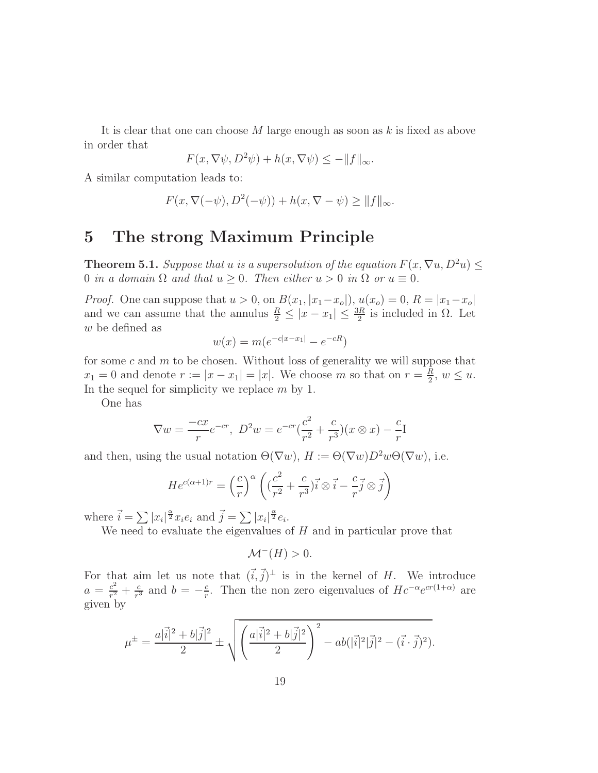It is clear that one can choose  $M$  large enough as soon as  $k$  is fixed as above in order that

$$
F(x, \nabla \psi, D^2 \psi) + h(x, \nabla \psi) \le -\|f\|_{\infty}.
$$

A similar computation leads to:

$$
F(x, \nabla(-\psi), D^2(-\psi)) + h(x, \nabla - \psi) \ge ||f||_{\infty}.
$$

# 5 The strong Maximum Principle

**Theorem 5.1.** Suppose that u is a supersolution of the equation  $F(x, \nabla u, D^2u)$ 0 in a domain  $\Omega$  and that  $u \ge 0$ . Then either  $u > 0$  in  $\Omega$  or  $u \equiv 0$ .

*Proof.* One can suppose that  $u > 0$ , on  $B(x_1, |x_1-x_0|)$ ,  $u(x_0) = 0$ ,  $R = |x_1-x_0|$ and we can assume that the annulus  $\frac{R}{2} \leq |x - x_1| \leq \frac{3R}{2}$  is included in  $\Omega$ . Let w be defined as

$$
w(x) = m(e^{-c|x-x_1|} - e^{-cR})
$$

for some c and  $m$  to be chosen. Without loss of generality we will suppose that  $x_1 = 0$  and denote  $r := |x - x_1| = |x|$ . We choose m so that on  $r = \frac{R}{2}$  $\frac{R}{2}$ ,  $w \leq u$ . In the sequel for simplicity we replace  $m$  by 1.

One has

$$
\nabla w = \frac{-cx}{r}e^{-cr}, \ D^2 w = e^{-cr}(\frac{c^2}{r^2} + \frac{c}{r^3})(x \otimes x) - \frac{c}{r}I
$$

and then, using the usual notation  $\Theta(\nabla w)$ ,  $H := \Theta(\nabla w)D^2w\Theta(\nabla w)$ , i.e.

$$
He^{c(\alpha+1)r} = \left(\frac{c}{r}\right)^{\alpha} \left( \left(\frac{c^2}{r^2} + \frac{c}{r^3}\right) \vec{i} \otimes \vec{i} - \frac{c}{r} \vec{j} \otimes \vec{j} \right)
$$

where  $\vec{i} = \sum |x_i|^{\frac{\alpha}{2}} x_i e_i$  and  $\vec{j} = \sum |x_i|^{\frac{\alpha}{2}} e_i$ .

We need to evaluate the eigenvalues of  $H$  and in particular prove that

$$
\mathcal{M}^-(H) > 0.
$$

For that aim let us note that  $(\vec{i}, \vec{j})^{\perp}$  is in the kernel of H. We introduce  $a = \frac{c^2}{r^2}$  $\frac{c^2}{r^2} + \frac{c}{r^3}$  $\frac{c}{r^3}$  and  $b = -\frac{c}{r}$  $\frac{c}{r}$ . Then the non zero eigenvalues of  $Hc^{-\alpha}e^{cr(1+\alpha)}$  are given by

$$
\mu^{\pm} = \frac{a|\vec{i}|^2 + b|\vec{j}|^2}{2} \pm \sqrt{\left(\frac{a|\vec{i}|^2 + b|\vec{j}|^2}{2}\right)^2 - ab(|\vec{i}|^2|\vec{j}|^2 - (\vec{i} \cdot \vec{j})^2)}.
$$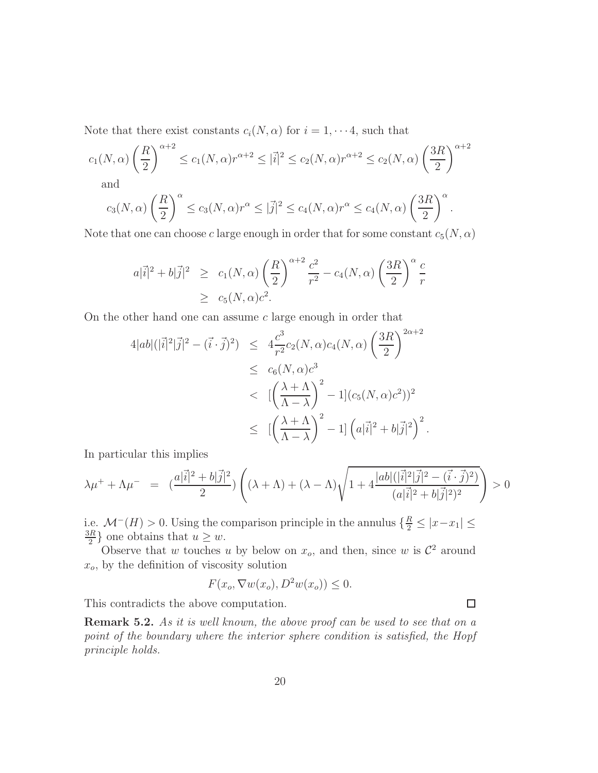Note that there exist constants  $c_i(N, \alpha)$  for  $i = 1, \dots 4$ , such that

$$
c_1(N,\alpha)\left(\frac{R}{2}\right)^{\alpha+2} \le c_1(N,\alpha)r^{\alpha+2} \le |\vec{i}|^2 \le c_2(N,\alpha)r^{\alpha+2} \le c_2(N,\alpha)\left(\frac{3R}{2}\right)^{\alpha+2}
$$
 and

and

$$
c_3(N,\alpha)\left(\frac{R}{2}\right)^{\alpha} \le c_3(N,\alpha)r^{\alpha} \le |\vec{j}|^2 \le c_4(N,\alpha)r^{\alpha} \le c_4(N,\alpha)\left(\frac{3R}{2}\right)^{\alpha}.
$$

Note that one can choose c large enough in order that for some constant  $c_5(N, \alpha)$ 

$$
a|\vec{i}|^2 + b|\vec{j}|^2 \ge c_1(N,\alpha) \left(\frac{R}{2}\right)^{\alpha+2} \frac{c^2}{r^2} - c_4(N,\alpha) \left(\frac{3R}{2}\right)^{\alpha} \frac{c}{r}
$$
  
  $\ge c_5(N,\alpha)c^2.$ 

On the other hand one can assume c large enough in order that

$$
4|ab|(|\vec{i}|^2|\vec{j}|^2 - (\vec{i} \cdot \vec{j})^2) \le 4\frac{c^3}{r^2}c_2(N,\alpha)c_4(N,\alpha)\left(\frac{3R}{2}\right)^{2\alpha+2}
$$
  

$$
\le c_6(N,\alpha)c^3
$$
  

$$
< [(\frac{\lambda+\Lambda}{\Lambda-\lambda})^2 - 1](c_5(N,\alpha)c^2))^2
$$
  

$$
\le [(\frac{\lambda+\Lambda}{\Lambda-\lambda})^2 - 1] (a|\vec{i}|^2 + b|\vec{j}|^2)^2.
$$

In particular this implies

$$
\lambda \mu^{+} + \Lambda \mu^{-} = \left( \frac{a|\vec{i}|^{2} + b|\vec{j}|^{2}}{2} \right) \left( (\lambda + \Lambda) + (\lambda - \Lambda) \sqrt{1 + 4 \frac{|ab| (|\vec{i}|^{2}|\vec{j}|^{2} - (\vec{i} \cdot \vec{j})^{2})}{(a|\vec{i}|^{2} + b|\vec{j}|^{2})^{2}}} \right) > 0
$$

i.e.  $\mathcal{M}^-(H) > 0$ . Using the comparison principle in the annulus  $\{\frac{R}{2} \leq |x-x_1| \leq$ 3R  $\frac{dR}{2}$  one obtains that  $u \geq w$ .

Observe that w touches u by below on  $x_o$ , and then, since w is  $\mathcal{C}^2$  around  $x<sub>o</sub>$ , by the definition of viscosity solution

$$
F(x_o, \nabla w(x_o), D^2 w(x_o)) \le 0.
$$

This contradicts the above computation.

Remark 5.2. As it is well known, the above proof can be used to see that on a point of the boundary where the interior sphere condition is satisfied, the Hopf principle holds.

 $\Box$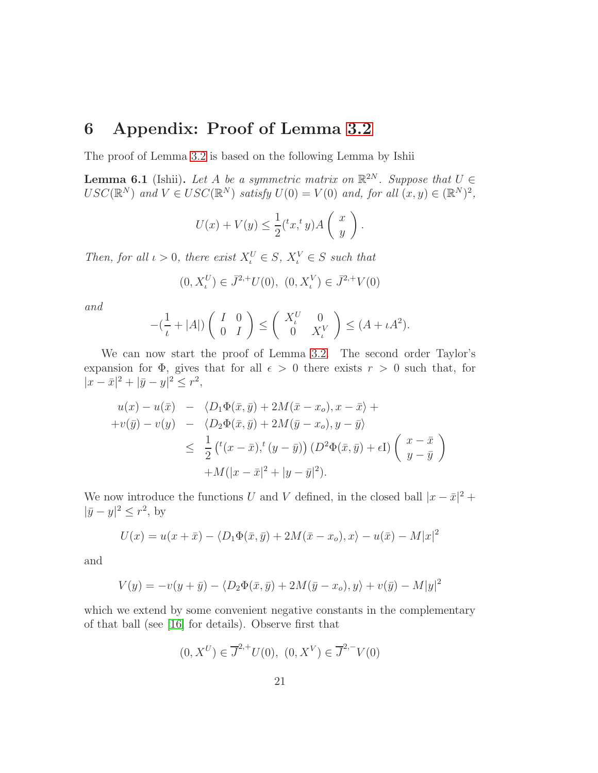# 6 Appendix: Proof of Lemma [3.2](#page-6-1)

The proof of Lemma [3.2](#page-6-1) is based on the following Lemma by Ishii

<span id="page-20-0"></span>**Lemma 6.1** (Ishii). Let A be a symmetric matrix on  $\mathbb{R}^{2N}$ . Suppose that  $U \in$  $USC(\mathbb{R}^N)$  and  $V \in USC(\mathbb{R}^N)$  satisfy  $U(0) = V(0)$  and, for all  $(x, y) \in (\mathbb{R}^N)^2$ ,

$$
U(x) + V(y) \le \frac{1}{2} ({}^t x, {}^t y) A\left(\begin{array}{c} x \\ y \end{array}\right).
$$

Then, for all  $\iota > 0$ , there exist  $X_{\iota}^U \in S$ ,  $X_{\iota}^V \in S$  such that

$$
(0, X_t^U) \in \bar{J}^{2,+}U(0), (0, X_t^V) \in \bar{J}^{2,+}V(0)
$$

and

$$
-(\frac{1}{\iota}+|A|)\left(\begin{array}{cc}I&0\\0&I\end{array}\right)\leq\left(\begin{array}{cc}X_{\iota}^U&0\\0&X_{\iota}^V\end{array}\right)\leq(A+\iota A^2).
$$

We can now start the proof of Lemma [3.2.](#page-6-1) The second order Taylor's expansion for  $\Phi$ , gives that for all  $\epsilon > 0$  there exists  $r > 0$  such that, for  $|x - \bar{x}|^2 + |\bar{y} - y|^2 \leq r^2$ ,

$$
u(x) - u(\bar{x}) - \langle D_1 \Phi(\bar{x}, \bar{y}) + 2M(\bar{x} - x_o), x - \bar{x} \rangle +
$$
  
+
$$
v(\bar{y}) - v(y) - \langle D_2 \Phi(\bar{x}, \bar{y}) + 2M(\bar{y} - x_o), y - \bar{y} \rangle
$$
  

$$
\leq \frac{1}{2} ({}^t (x - \bar{x}), {}^t (y - \bar{y})) (D^2 \Phi(\bar{x}, \bar{y}) + \epsilon I) \left( \begin{array}{c} x - \bar{x} \\ y - \bar{y} \end{array} \right)
$$
  
+
$$
M(|x - \bar{x}|^2 + |y - \bar{y}|^2).
$$

We now introduce the functions U and V defined, in the closed ball  $|x - \bar{x}|^2 +$  $|\bar{y} - y|^2 \le r^2$ , by

$$
U(x) = u(x + \bar{x}) - \langle D_1 \Phi(\bar{x}, \bar{y}) + 2M(\bar{x} - x_o), x \rangle - u(\bar{x}) - M|x|^2
$$

and

$$
V(y) = -v(y + \bar{y}) - \langle D_2\Phi(\bar{x}, \bar{y}) + 2M(\bar{y} - x_o), y \rangle + v(\bar{y}) - M|y|^2
$$

which we extend by some convenient negative constants in the complementary of that ball (see [\[16\]](#page-23-1) for details). Observe first that

$$
(0, X^U) \in \overline{J}^{2,+}U(0), (0, X^V) \in \overline{J}^{2,-}V(0)
$$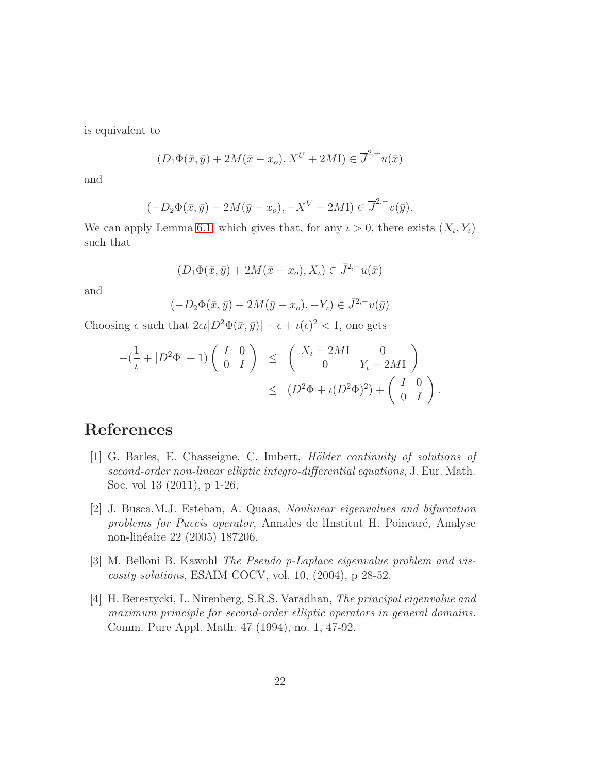is equivalent to

$$
(D_1\Phi(\bar{x}, \bar{y}) + 2M(\bar{x} - x_o), X^U + 2M\mathbf{I}) \in \overline{J}^{2,+}u(\bar{x})
$$

and

$$
(-D_2\Phi(\bar{x}, \bar{y}) - 2M(\bar{y} - x_o), -X^V - 2M\mathbf{I}) \in \overline{J}^{2,-}v(\bar{y}).
$$

We can apply Lemma [6.1,](#page-20-0) which gives that, for any  $\iota > 0$ , there exists  $(X_{\iota}, Y_{\iota})$ such that

$$
(D_1\Phi(\bar{x}, \bar{y}) + 2M(\bar{x} - x_o), X_\iota) \in \bar{J}^{2,+}u(\bar{x})
$$

and

$$
(-D_2\Phi(\bar{x}, \bar{y}) - 2M(\bar{y} - x_o), -Y_\iota) \in \bar{J}^{2,-}v(\bar{y})
$$

Choosing  $\epsilon$  such that  $2\epsilon\iota|D^2\Phi(\bar{x},\bar{y})| + \epsilon + \iota(\epsilon)^2 < 1$ , one gets

$$
-(\frac{1}{\iota}+|D^2\Phi|+1)\begin{pmatrix}I&0\\0&I\end{pmatrix} \leq \begin{pmatrix}X_{\iota}-2M\mathbf{I}&0\\0&Y_{\iota}-2M\mathbf{I}\end{pmatrix}
$$

$$
\leq (D^2\Phi+\iota(D^2\Phi)^2)+\begin{pmatrix}I&0\\0&I\end{pmatrix}.
$$

# <span id="page-21-3"></span>References

- [1] G. Barles, E. Chasseigne, C. Imbert, Hölder continuity of solutions of second-order non-linear elliptic integro-differential equations, J. Eur. Math. Soc. vol 13 (2011), p 1-26.
- <span id="page-21-2"></span>[2] J. Busca,M.J. Esteban, A. Quaas, Nonlinear eigenvalues and bifurcation problems for Puccis operator, Annales de lInstitut H. Poincaré, Analyse non-linéaire 22 (2005) 187206.
- <span id="page-21-0"></span>[3] M. Belloni B. Kawohl The Pseudo p-Laplace eigenvalue problem and viscosity solutions, ESAIM COCV, vol. 10, (2004), p 28-52.
- <span id="page-21-1"></span>[4] H. Berestycki, L. Nirenberg, S.R.S. Varadhan, The principal eigenvalue and maximum principle for second-order elliptic operators in general domains. Comm. Pure Appl. Math. 47 (1994), no. 1, 47-92.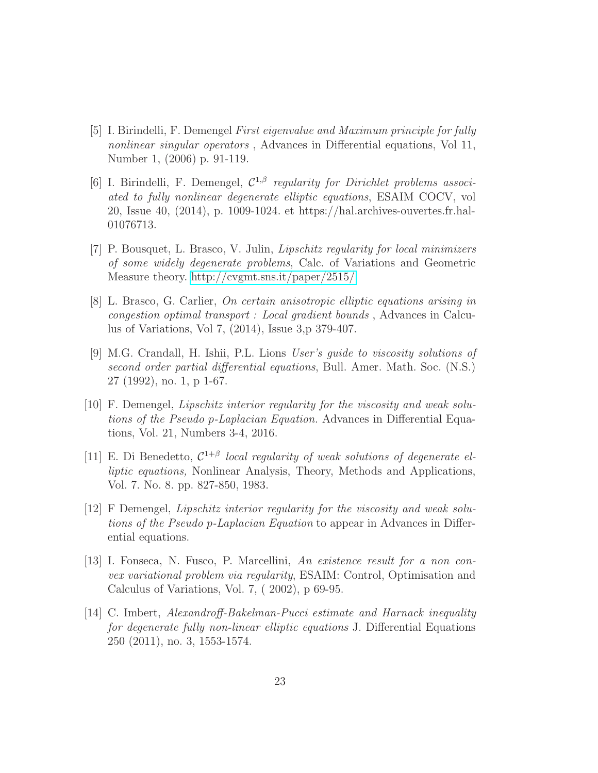- <span id="page-22-5"></span>[5] I. Birindelli, F. Demengel First eigenvalue and Maximum principle for fully nonlinear singular operators , Advances in Differential equations, Vol 11, Number 1, (2006) p. 91-119.
- <span id="page-22-7"></span>[6] I. Birindelli, F. Demengel,  $\mathcal{C}^{1,\beta}$  regularity for Dirichlet problems associated to fully nonlinear degenerate elliptic equations, ESAIM COCV, vol 20, Issue 40, (2014), p. 1009-1024. et https://hal.archives-ouvertes.fr.hal-01076713.
- <span id="page-22-4"></span>[7] P. Bousquet, L. Brasco, V. Julin, Lipschitz regularity for local minimizers of some widely degenerate problems, Calc. of Variations and Geometric Measure theory.<http://cvgmt.sns.it/paper/2515/>
- <span id="page-22-2"></span>[8] L. Brasco, G. Carlier, On certain anisotropic elliptic equations arising in congestion optimal transport : Local gradient bounds , Advances in Calculus of Variations, Vol 7, (2014), Issue 3,p 379-407.
- <span id="page-22-8"></span>[9] M.G. Crandall, H. Ishii, P.L. Lions User's guide to viscosity solutions of second order partial differential equations, Bull. Amer. Math. Soc. (N.S.) 27 (1992), no. 1, p 1-67.
- [10] F. Demengel, Lipschitz interior regularity for the viscosity and weak solutions of the Pseudo p-Laplacian Equation. Advances in Differential Equations, Vol. 21, Numbers 3-4, 2016.
- <span id="page-22-0"></span>[11] E. Di Benedetto,  $C^{1+\beta}$  local regularity of weak solutions of degenerate elliptic equations, Nonlinear Analysis, Theory, Methods and Applications, Vol. 7. No. 8. pp. 827-850, 1983.
- <span id="page-22-3"></span>[12] F Demengel, Lipschitz interior regularity for the viscosity and weak solutions of the Pseudo p-Laplacian Equation to appear in Advances in Differential equations.
- <span id="page-22-1"></span>[13] I. Fonseca, N. Fusco, P. Marcellini, An existence result for a non convex variational problem via regularity, ESAIM: Control, Optimisation and Calculus of Variations, Vol. 7, ( 2002), p 69-95.
- <span id="page-22-6"></span>[14] C. Imbert, Alexandroff-Bakelman-Pucci estimate and Harnack inequality for degenerate fully non-linear elliptic equations J. Differential Equations 250 (2011), no. 3, 1553-1574.